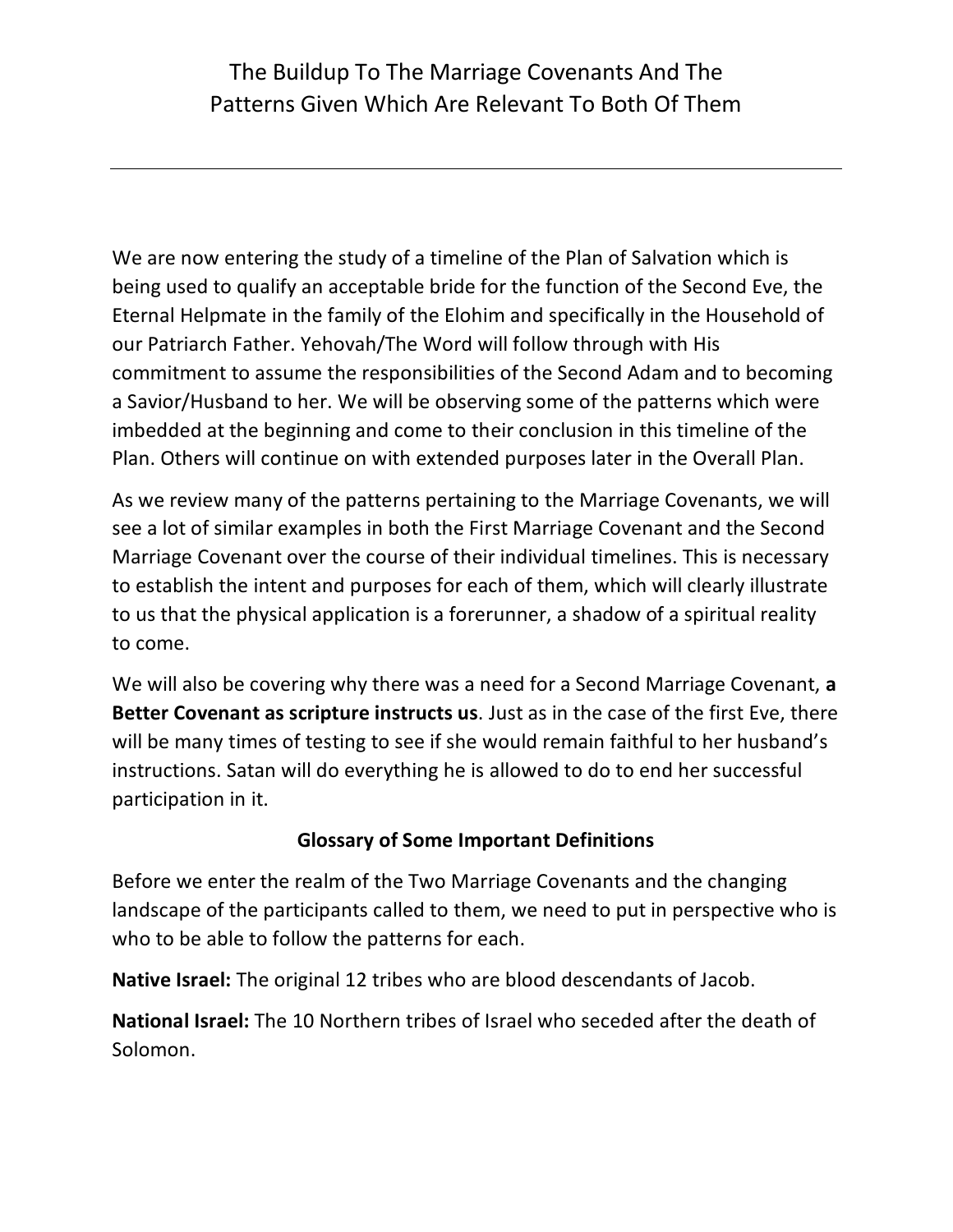## The Buildup To The Marriage Covenants And The Patterns Given Which Are Relevant To Both Of Them

We are now entering the study of a timeline of the Plan of Salvation which is being used to qualify an acceptable bride for the function of the Second Eve, the Eternal Helpmate in the family of the Elohim and specifically in the Household of our Patriarch Father. Yehovah/The Word will follow through with His commitment to assume the responsibilities of the Second Adam and to becoming a Savior/Husband to her. We will be observing some of the patterns which were imbedded at the beginning and come to their conclusion in this timeline of the Plan. Others will continue on with extended purposes later in the Overall Plan.

As we review many of the patterns pertaining to the Marriage Covenants, we will see a lot of similar examples in both the First Marriage Covenant and the Second Marriage Covenant over the course of their individual timelines. This is necessary to establish the intent and purposes for each of them, which will clearly illustrate to us that the physical application is a forerunner, a shadow of a spiritual reality to come.

We will also be covering why there was a need for a Second Marriage Covenant, **a Better Covenant as scripture instructs us**. Just as in the case of the first Eve, there will be many times of testing to see if she would remain faithful to her husband's instructions. Satan will do everything he is allowed to do to end her successful participation in it.

## **Glossary of Some Important Definitions**

Before we enter the realm of the Two Marriage Covenants and the changing landscape of the participants called to them, we need to put in perspective who is who to be able to follow the patterns for each.

**Native Israel:** The original 12 tribes who are blood descendants of Jacob.

**National Israel:** The 10 Northern tribes of Israel who seceded after the death of Solomon.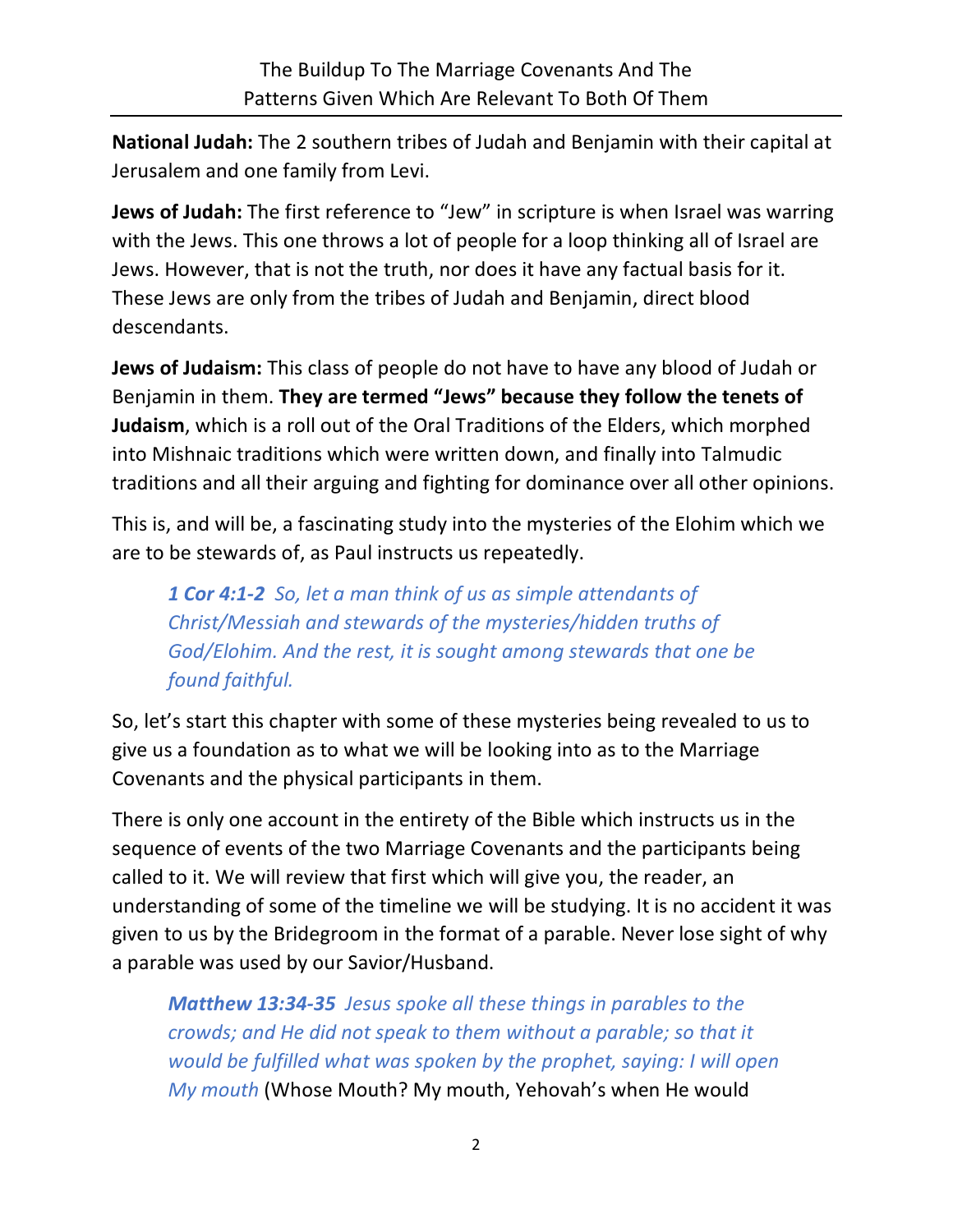**National Judah:** The 2 southern tribes of Judah and Benjamin with their capital at Jerusalem and one family from Levi.

**Jews of Judah:** The first reference to "Jew" in scripture is when Israel was warring with the Jews. This one throws a lot of people for a loop thinking all of Israel are Jews. However, that is not the truth, nor does it have any factual basis for it. These Jews are only from the tribes of Judah and Benjamin, direct blood descendants.

**Jews of Judaism:** This class of people do not have to have any blood of Judah or Benjamin in them. **They are termed "Jews" because they follow the tenets of Judaism**, which is a roll out of the Oral Traditions of the Elders, which morphed into Mishnaic traditions which were written down, and finally into Talmudic traditions and all their arguing and fighting for dominance over all other opinions.

This is, and will be, a fascinating study into the mysteries of the Elohim which we are to be stewards of, as Paul instructs us repeatedly.

*1 Cor 4:1-2 So, let a man think of us as simple attendants of Christ/Messiah and stewards of the mysteries/hidden truths of God/Elohim. And the rest, it is sought among stewards that one be found faithful.*

So, let's start this chapter with some of these mysteries being revealed to us to give us a foundation as to what we will be looking into as to the Marriage Covenants and the physical participants in them.

There is only one account in the entirety of the Bible which instructs us in the sequence of events of the two Marriage Covenants and the participants being called to it. We will review that first which will give you, the reader, an understanding of some of the timeline we will be studying. It is no accident it was given to us by the Bridegroom in the format of a parable. Never lose sight of why a parable was used by our Savior/Husband.

*Matthew 13:34-35 Jesus spoke all these things in parables to the crowds; and He did not speak to them without a parable; so that it would be fulfilled what was spoken by the prophet, saying: I will open My mouth* (Whose Mouth? My mouth, Yehovah's when He would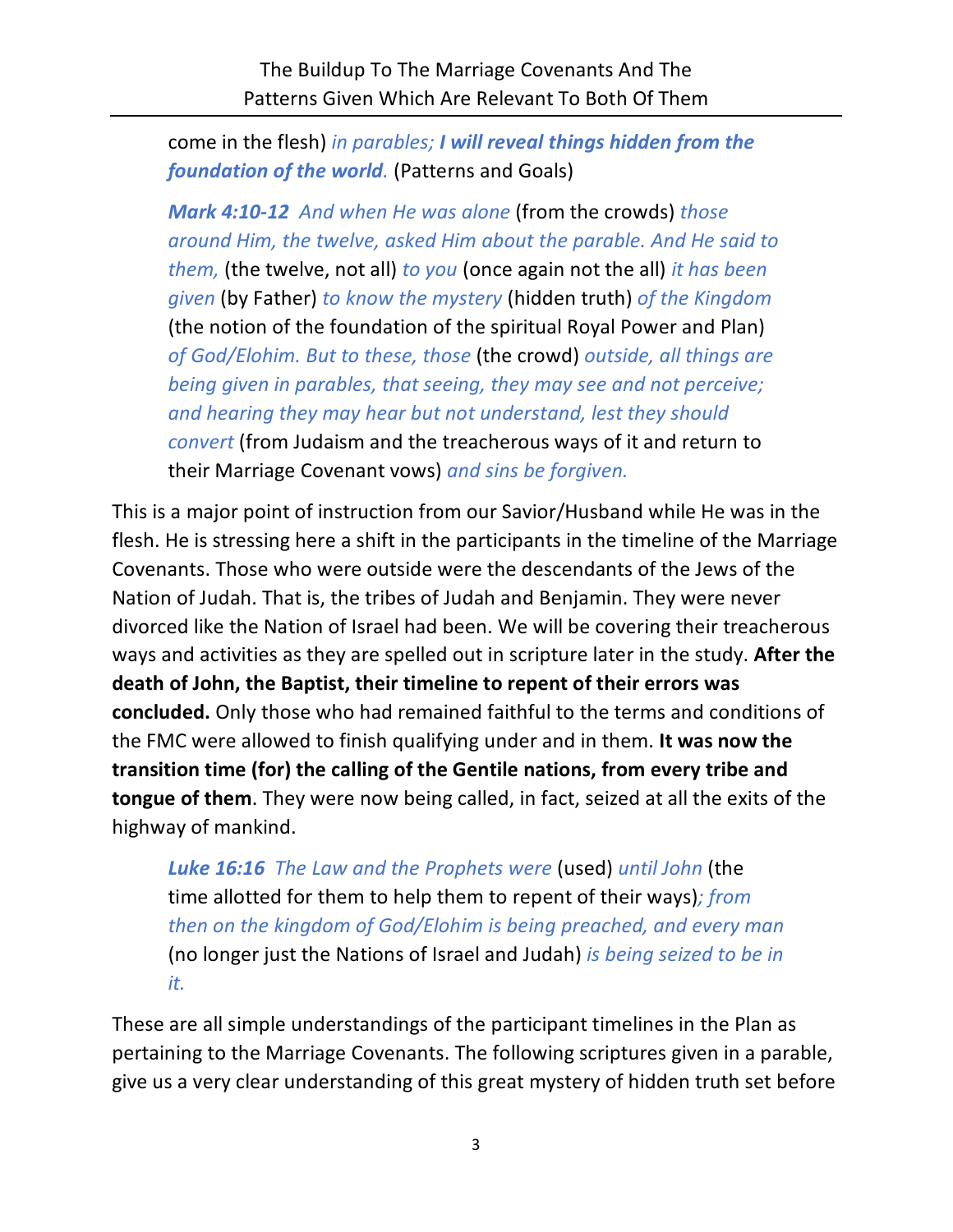come in the flesh) *in parables; I will reveal things hidden from the foundation of the world.* (Patterns and Goals)

*Mark 4:10-12 And when He was alone* (from the crowds) *those around Him, the twelve, asked Him about the parable. And He said to them,* (the twelve, not all) *to you* (once again not the all) *it has been given* (by Father) *to know the mystery* (hidden truth) *of the Kingdom*  (the notion of the foundation of the spiritual Royal Power and Plan) *of God/Elohim. But to these, those* (the crowd) *outside, all things are being given in parables, that seeing, they may see and not perceive; and hearing they may hear but not understand, lest they should convert* (from Judaism and the treacherous ways of it and return to their Marriage Covenant vows) *and sins be forgiven.*

This is a major point of instruction from our Savior/Husband while He was in the flesh. He is stressing here a shift in the participants in the timeline of the Marriage Covenants. Those who were outside were the descendants of the Jews of the Nation of Judah. That is, the tribes of Judah and Benjamin. They were never divorced like the Nation of Israel had been. We will be covering their treacherous ways and activities as they are spelled out in scripture later in the study. **After the death of John, the Baptist, their timeline to repent of their errors was concluded.** Only those who had remained faithful to the terms and conditions of the FMC were allowed to finish qualifying under and in them. **It was now the transition time (for) the calling of the Gentile nations, from every tribe and tongue of them**. They were now being called, in fact, seized at all the exits of the highway of mankind.

*Luke 16:16 The Law and the Prophets were* (used) *until John* (the time allotted for them to help them to repent of their ways)*; from then on the kingdom of God/Elohim is being preached, and every man*  (no longer just the Nations of Israel and Judah) *is being seized to be in it.*

These are all simple understandings of the participant timelines in the Plan as pertaining to the Marriage Covenants. The following scriptures given in a parable, give us a very clear understanding of this great mystery of hidden truth set before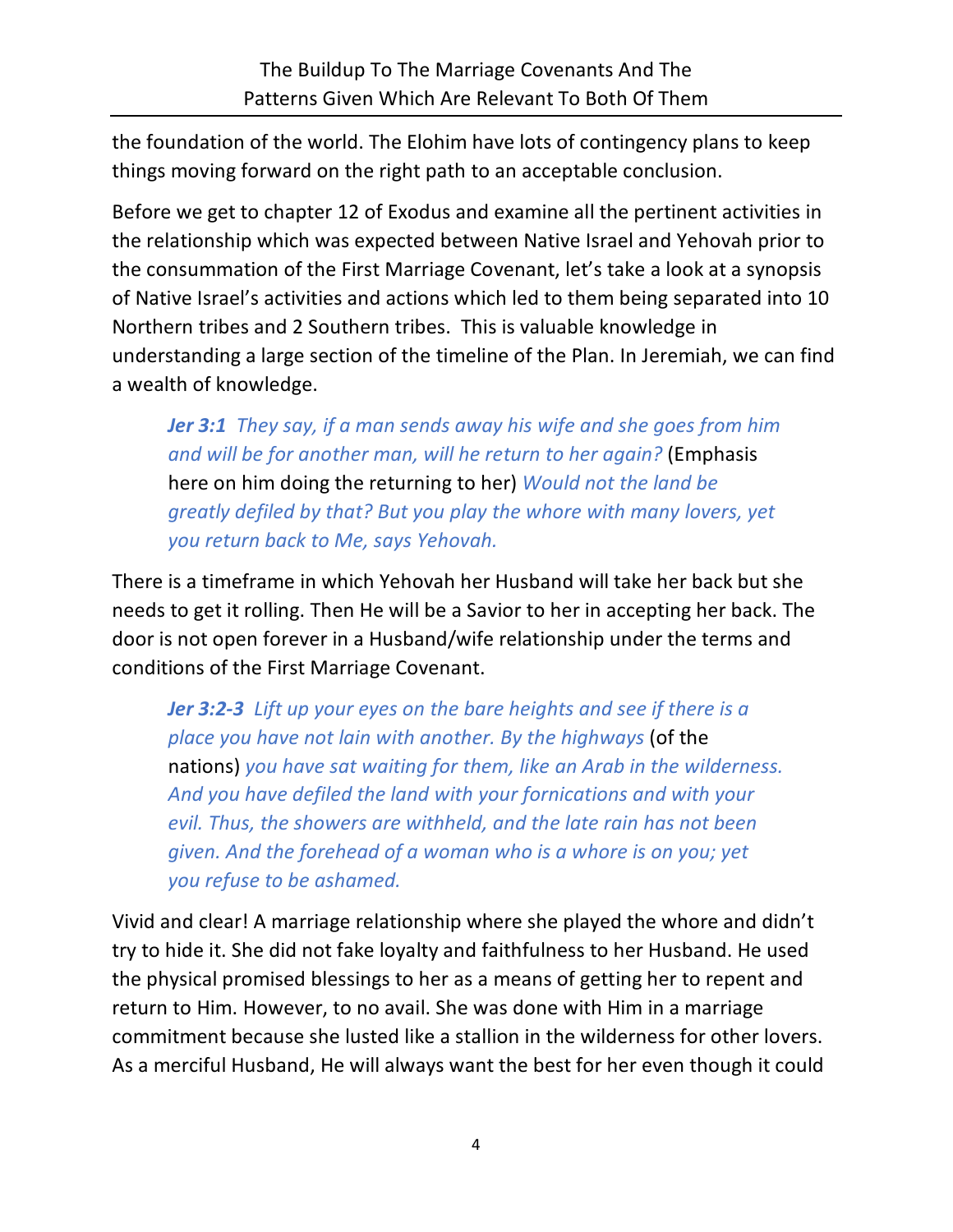the foundation of the world. The Elohim have lots of contingency plans to keep things moving forward on the right path to an acceptable conclusion.

Before we get to chapter 12 of Exodus and examine all the pertinent activities in the relationship which was expected between Native Israel and Yehovah prior to the consummation of the First Marriage Covenant, let's take a look at a synopsis of Native Israel's activities and actions which led to them being separated into 10 Northern tribes and 2 Southern tribes. This is valuable knowledge in understanding a large section of the timeline of the Plan. In Jeremiah, we can find a wealth of knowledge.

*Jer 3:1 They say, if a man sends away his wife and she goes from him and will be for another man, will he return to her again?* (Emphasis here on him doing the returning to her) *Would not the land be greatly defiled by that? But you play the whore with many lovers, yet you return back to Me, says Yehovah.*

There is a timeframe in which Yehovah her Husband will take her back but she needs to get it rolling. Then He will be a Savior to her in accepting her back. The door is not open forever in a Husband/wife relationship under the terms and conditions of the First Marriage Covenant.

*Jer 3:2-3 Lift up your eyes on the bare heights and see if there is a place you have not lain with another. By the highways* (of the nations) *you have sat waiting for them, like an Arab in the wilderness. And you have defiled the land with your fornications and with your evil. Thus, the showers are withheld, and the late rain has not been given. And the forehead of a woman who is a whore is on you; yet you refuse to be ashamed.*

Vivid and clear! A marriage relationship where she played the whore and didn't try to hide it. She did not fake loyalty and faithfulness to her Husband. He used the physical promised blessings to her as a means of getting her to repent and return to Him. However, to no avail. She was done with Him in a marriage commitment because she lusted like a stallion in the wilderness for other lovers. As a merciful Husband, He will always want the best for her even though it could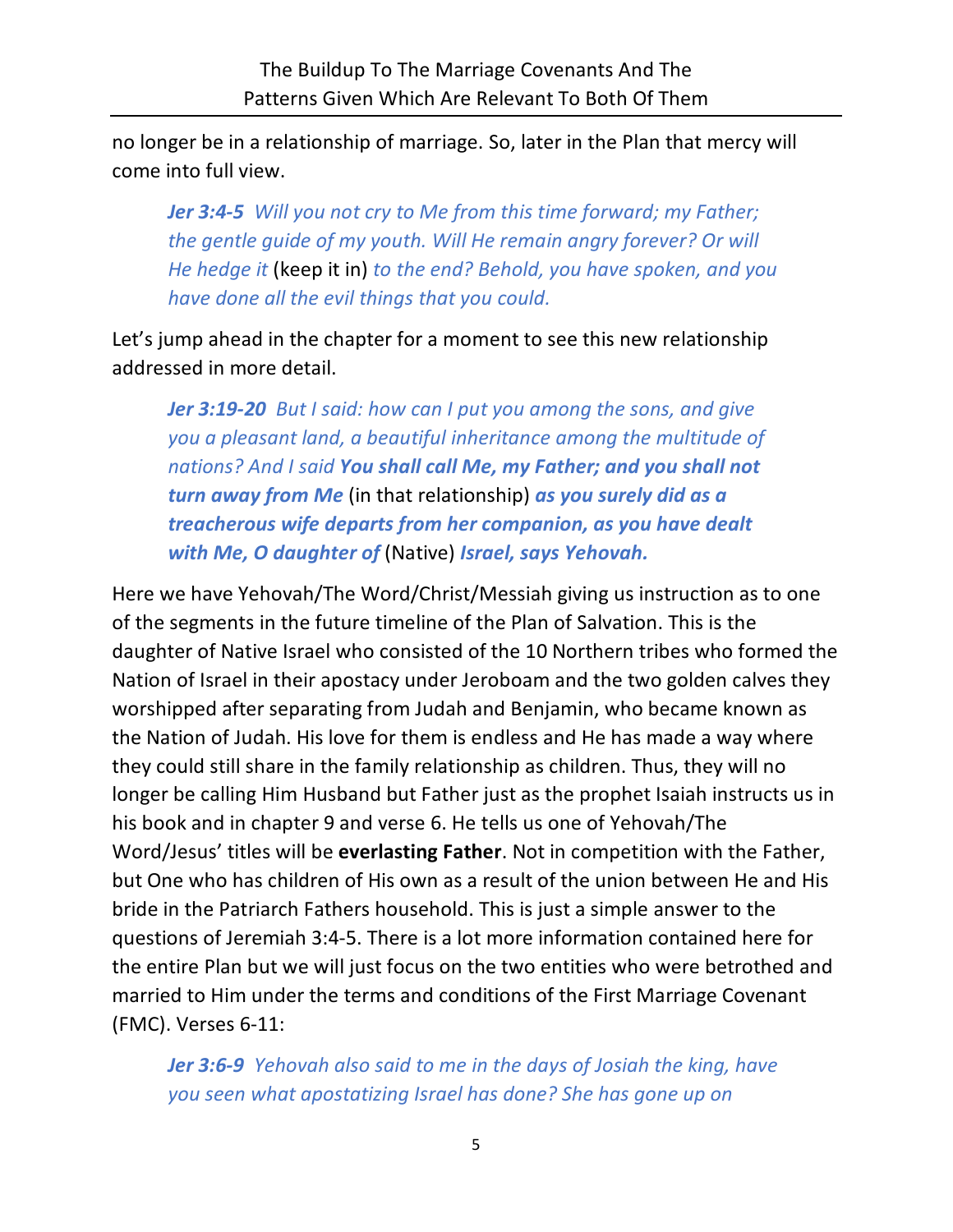no longer be in a relationship of marriage. So, later in the Plan that mercy will come into full view.

*Jer 3:4-5 Will you not cry to Me from this time forward; my Father; the gentle guide of my youth. Will He remain angry forever? Or will He hedge it* (keep it in) *to the end? Behold, you have spoken, and you have done all the evil things that you could.*

Let's jump ahead in the chapter for a moment to see this new relationship addressed in more detail.

*Jer 3:19-20 But I said: how can I put you among the sons, and give you a pleasant land, a beautiful inheritance among the multitude of nations? And I said You shall call Me, my Father; and you shall not turn away from Me* (in that relationship) *as you surely did as a treacherous wife departs from her companion, as you have dealt with Me, O daughter of* (Native) *Israel, says Yehovah.*

Here we have Yehovah/The Word/Christ/Messiah giving us instruction as to one of the segments in the future timeline of the Plan of Salvation. This is the daughter of Native Israel who consisted of the 10 Northern tribes who formed the Nation of Israel in their apostacy under Jeroboam and the two golden calves they worshipped after separating from Judah and Benjamin, who became known as the Nation of Judah. His love for them is endless and He has made a way where they could still share in the family relationship as children. Thus, they will no longer be calling Him Husband but Father just as the prophet Isaiah instructs us in his book and in chapter 9 and verse 6. He tells us one of Yehovah/The Word/Jesus' titles will be **everlasting Father**. Not in competition with the Father, but One who has children of His own as a result of the union between He and His bride in the Patriarch Fathers household. This is just a simple answer to the questions of Jeremiah 3:4-5. There is a lot more information contained here for the entire Plan but we will just focus on the two entities who were betrothed and married to Him under the terms and conditions of the First Marriage Covenant (FMC). Verses 6-11:

*Jer 3:6-9 Yehovah also said to me in the days of Josiah the king, have you seen what apostatizing Israel has done? She has gone up on*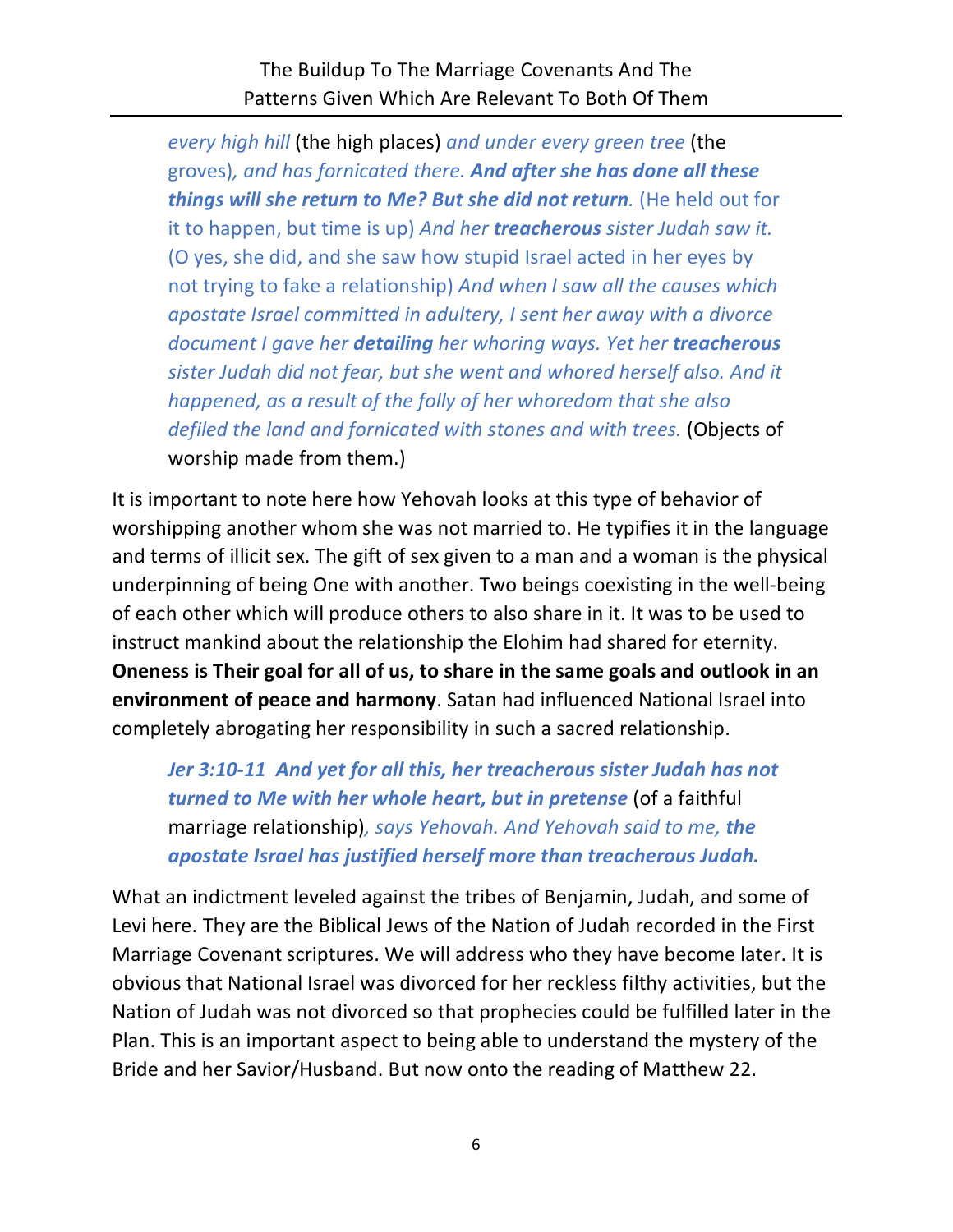The Buildup To The Marriage Covenants And The Patterns Given Which Are Relevant To Both Of Them

*every high hill* (the high places) *and under every green tree* (the groves)*, and has fornicated there. And after she has done all these things will she return to Me? But she did not return.* (He held out for it to happen, but time is up) *And her treacherous sister Judah saw it.*  (O yes, she did, and she saw how stupid Israel acted in her eyes by not trying to fake a relationship) *And when I saw all the causes which apostate Israel committed in adultery, I sent her away with a divorce document I gave her detailing her whoring ways. Yet her treacherous sister Judah did not fear, but she went and whored herself also. And it happened, as a result of the folly of her whoredom that she also defiled the land and fornicated with stones and with trees.* (Objects of worship made from them.)

It is important to note here how Yehovah looks at this type of behavior of worshipping another whom she was not married to. He typifies it in the language and terms of illicit sex. The gift of sex given to a man and a woman is the physical underpinning of being One with another. Two beings coexisting in the well-being of each other which will produce others to also share in it. It was to be used to instruct mankind about the relationship the Elohim had shared for eternity. **Oneness is Their goal for all of us, to share in the same goals and outlook in an environment of peace and harmony**. Satan had influenced National Israel into completely abrogating her responsibility in such a sacred relationship.

*Jer 3:10-11 And yet for all this, her treacherous sister Judah has not turned to Me with her whole heart, but in pretense* (of a faithful marriage relationship)*, says Yehovah. And Yehovah said to me, the apostate Israel has justified herself more than treacherous Judah.*

What an indictment leveled against the tribes of Benjamin, Judah, and some of Levi here. They are the Biblical Jews of the Nation of Judah recorded in the First Marriage Covenant scriptures. We will address who they have become later. It is obvious that National Israel was divorced for her reckless filthy activities, but the Nation of Judah was not divorced so that prophecies could be fulfilled later in the Plan. This is an important aspect to being able to understand the mystery of the Bride and her Savior/Husband. But now onto the reading of Matthew 22.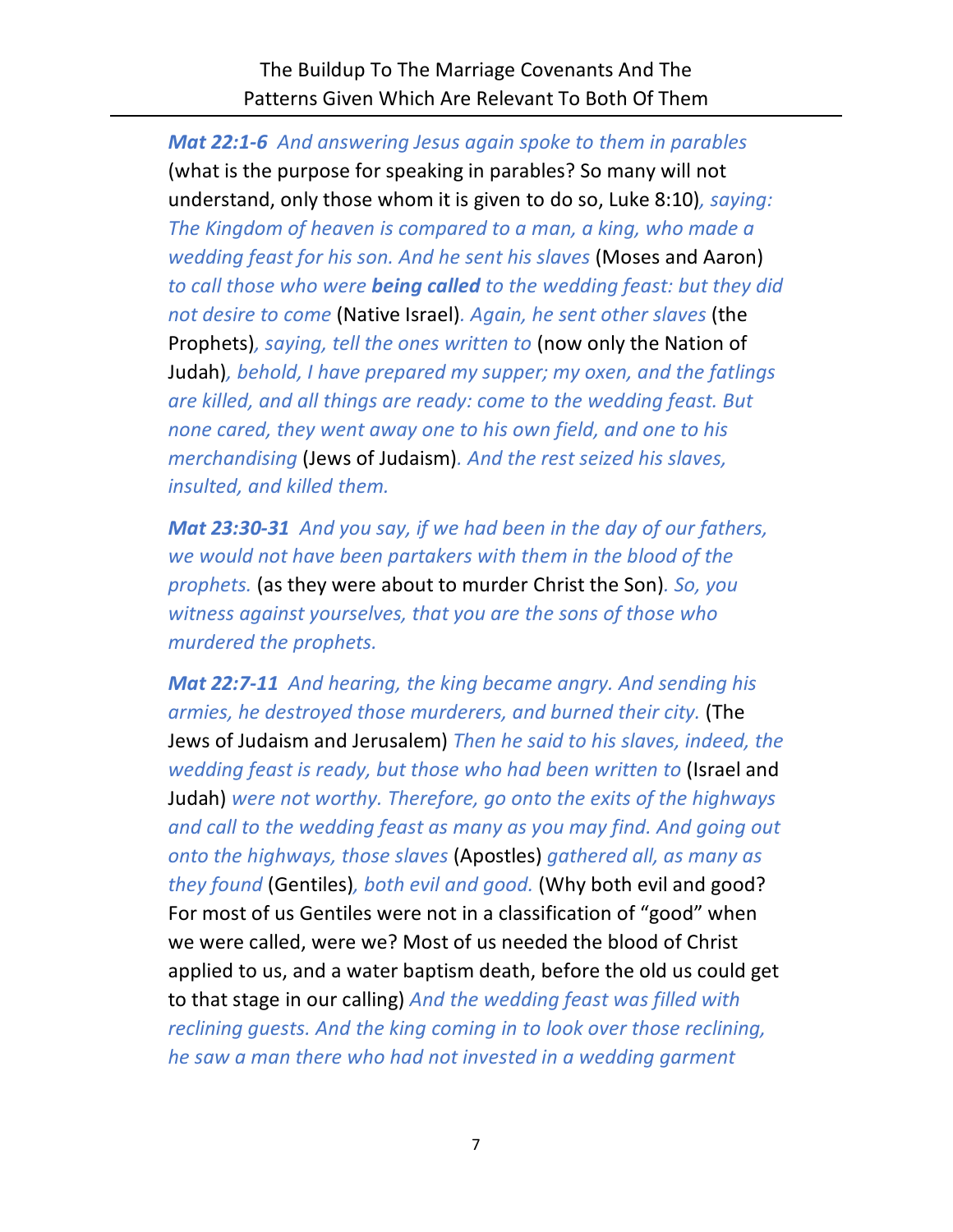The Buildup To The Marriage Covenants And The Patterns Given Which Are Relevant To Both Of Them

*Mat 22:1-6 And answering Jesus again spoke to them in parables*  (what is the purpose for speaking in parables? So many will not understand, only those whom it is given to do so, Luke 8:10)*, saying: The Kingdom of heaven is compared to a man, a king, who made a wedding feast for his son. And he sent his slaves* (Moses and Aaron) *to call those who were being called to the wedding feast: but they did not desire to come* (Native Israel)*. Again, he sent other slaves* (the Prophets)*, saying, tell the ones written to* (now only the Nation of Judah)*, behold, I have prepared my supper; my oxen, and the fatlings are killed, and all things are ready: come to the wedding feast. But none cared, they went away one to his own field, and one to his merchandising* (Jews of Judaism)*. And the rest seized his slaves, insulted, and killed them.* 

*Mat 23:30-31 And you say, if we had been in the day of our fathers, we would not have been partakers with them in the blood of the prophets.* (as they were about to murder Christ the Son)*. So, you witness against yourselves, that you are the sons of those who murdered the prophets.*

*Mat 22:7-11 And hearing, the king became angry. And sending his armies, he destroyed those murderers, and burned their city.* (The Jews of Judaism and Jerusalem) *Then he said to his slaves, indeed, the wedding feast is ready, but those who had been written to* (Israel and Judah) *were not worthy. Therefore, go onto the exits of the highways and call to the wedding feast as many as you may find. And going out onto the highways, those slaves* (Apostles) *gathered all, as many as they found* (Gentiles)*, both evil and good.* (Why both evil and good? For most of us Gentiles were not in a classification of "good" when we were called, were we? Most of us needed the blood of Christ applied to us, and a water baptism death, before the old us could get to that stage in our calling) *And the wedding feast was filled with reclining guests. And the king coming in to look over those reclining, he saw a man there who had not invested in a wedding garment*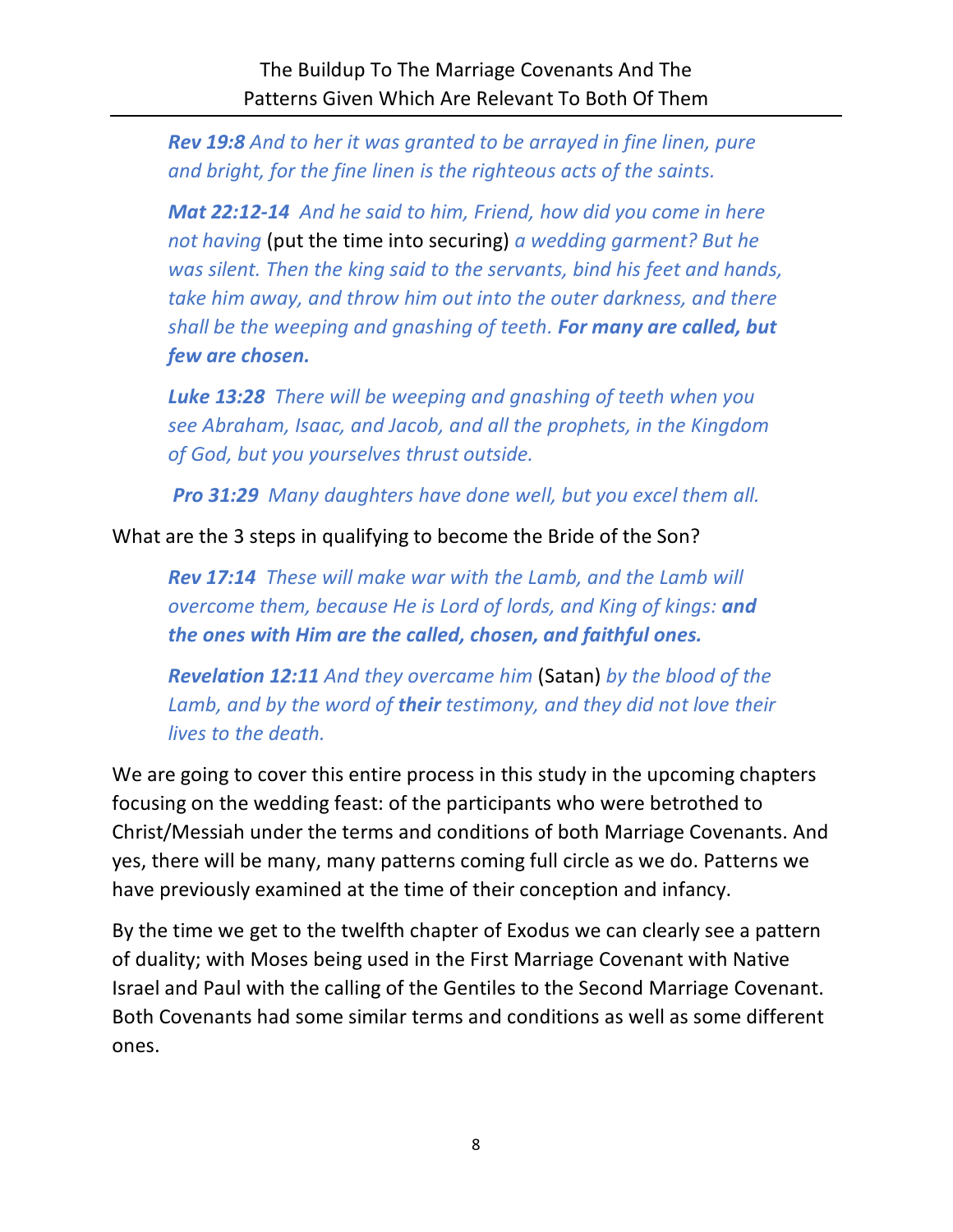*Rev 19:8 And to her it was granted to be arrayed in fine linen, pure and bright, for the fine linen is the righteous acts of the saints.*

*Mat 22:12-14 And he said to him, Friend, how did you come in here not having* (put the time into securing) *a wedding garment? But he was silent. Then the king said to the servants, bind his feet and hands, take him away, and throw him out into the outer darkness, and there shall be the weeping and gnashing of teeth. For many are called, but few are chosen.*

*Luke 13:28 There will be weeping and gnashing of teeth when you see Abraham, Isaac, and Jacob, and all the prophets, in the Kingdom of God, but you yourselves thrust outside.*

*Pro 31:29 Many daughters have done well, but you excel them all.*

What are the 3 steps in qualifying to become the Bride of the Son?

*Rev 17:14 These will make war with the Lamb, and the Lamb will overcome them, because He is Lord of lords, and King of kings: and the ones with Him are the called, chosen, and faithful ones.*

*Revelation 12:11 And they overcame him* (Satan) *by the blood of the Lamb, and by the word of their testimony, and they did not love their lives to the death.*

We are going to cover this entire process in this study in the upcoming chapters focusing on the wedding feast: of the participants who were betrothed to Christ/Messiah under the terms and conditions of both Marriage Covenants. And yes, there will be many, many patterns coming full circle as we do. Patterns we have previously examined at the time of their conception and infancy.

By the time we get to the twelfth chapter of Exodus we can clearly see a pattern of duality; with Moses being used in the First Marriage Covenant with Native Israel and Paul with the calling of the Gentiles to the Second Marriage Covenant. Both Covenants had some similar terms and conditions as well as some different ones.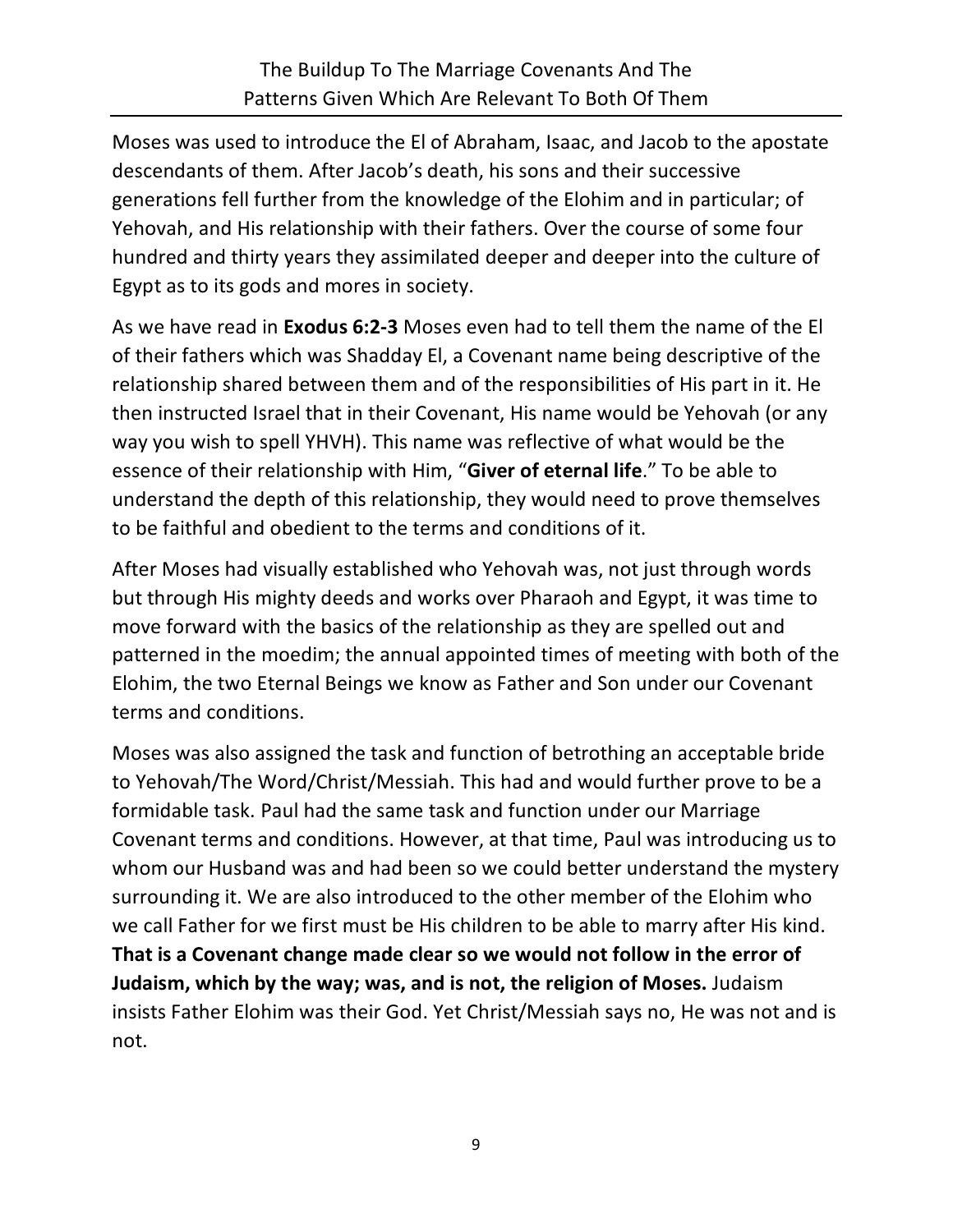Moses was used to introduce the El of Abraham, Isaac, and Jacob to the apostate descendants of them. After Jacob's death, his sons and their successive generations fell further from the knowledge of the Elohim and in particular; of Yehovah, and His relationship with their fathers. Over the course of some four hundred and thirty years they assimilated deeper and deeper into the culture of Egypt as to its gods and mores in society.

As we have read in **Exodus 6:2-3** Moses even had to tell them the name of the El of their fathers which was Shadday El, a Covenant name being descriptive of the relationship shared between them and of the responsibilities of His part in it. He then instructed Israel that in their Covenant, His name would be Yehovah (or any way you wish to spell YHVH). This name was reflective of what would be the essence of their relationship with Him, "**Giver of eternal life**." To be able to understand the depth of this relationship, they would need to prove themselves to be faithful and obedient to the terms and conditions of it.

After Moses had visually established who Yehovah was, not just through words but through His mighty deeds and works over Pharaoh and Egypt, it was time to move forward with the basics of the relationship as they are spelled out and patterned in the moedim; the annual appointed times of meeting with both of the Elohim, the two Eternal Beings we know as Father and Son under our Covenant terms and conditions.

Moses was also assigned the task and function of betrothing an acceptable bride to Yehovah/The Word/Christ/Messiah. This had and would further prove to be a formidable task. Paul had the same task and function under our Marriage Covenant terms and conditions. However, at that time, Paul was introducing us to whom our Husband was and had been so we could better understand the mystery surrounding it. We are also introduced to the other member of the Elohim who we call Father for we first must be His children to be able to marry after His kind. **That is a Covenant change made clear so we would not follow in the error of Judaism, which by the way; was, and is not, the religion of Moses.** Judaism insists Father Elohim was their God. Yet Christ/Messiah says no, He was not and is not.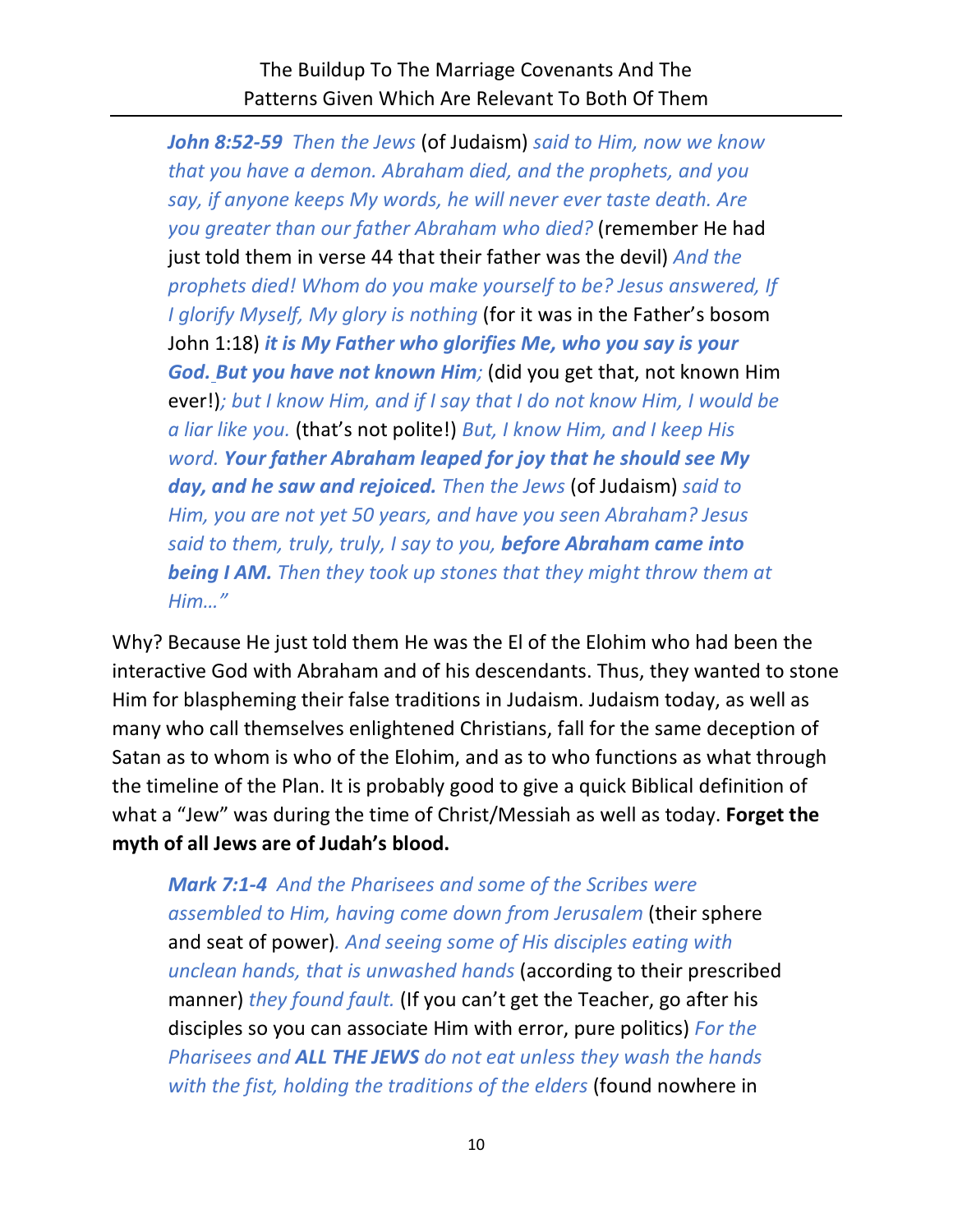*John 8:52-59 Then the Jews* (of Judaism) *said to Him, now we know that you have a demon. Abraham died, and the prophets, and you say, if anyone keeps My words, he will never ever taste death. Are you greater than our father Abraham who died?* (remember He had just told them in verse 44 that their father was the devil) *And the prophets died! Whom do you make yourself to be? Jesus answered, If I glorify Myself, My glory is nothing* (for it was in the Father's bosom John 1:18) *it is My Father who glorifies Me, who you say is your God. But you have not known Him;* (did you get that, not known Him ever!)*; but I know Him, and if I say that I do not know Him, I would be a liar like you.* (that's not polite!) *But, I know Him, and I keep His word. Your father Abraham leaped for joy that he should see My day, and he saw and rejoiced. Then the Jews* (of Judaism) *said to Him, you are not yet 50 years, and have you seen Abraham? Jesus said to them, truly, truly, I say to you, before Abraham came into being I AM. Then they took up stones that they might throw them at Him…"*

Why? Because He just told them He was the El of the Elohim who had been the interactive God with Abraham and of his descendants. Thus, they wanted to stone Him for blaspheming their false traditions in Judaism. Judaism today, as well as many who call themselves enlightened Christians, fall for the same deception of Satan as to whom is who of the Elohim, and as to who functions as what through the timeline of the Plan. It is probably good to give a quick Biblical definition of what a "Jew" was during the time of Christ/Messiah as well as today. **Forget the myth of all Jews are of Judah's blood.**

*Mark 7:1-4 And the Pharisees and some of the Scribes were assembled to Him, having come down from Jerusalem* (their sphere and seat of power)*. And seeing some of His disciples eating with unclean hands, that is unwashed hands* (according to their prescribed manner) *they found fault.* (If you can't get the Teacher, go after his disciples so you can associate Him with error, pure politics) *For the Pharisees and ALL THE JEWS do not eat unless they wash the hands with the fist, holding the traditions of the elders* (found nowhere in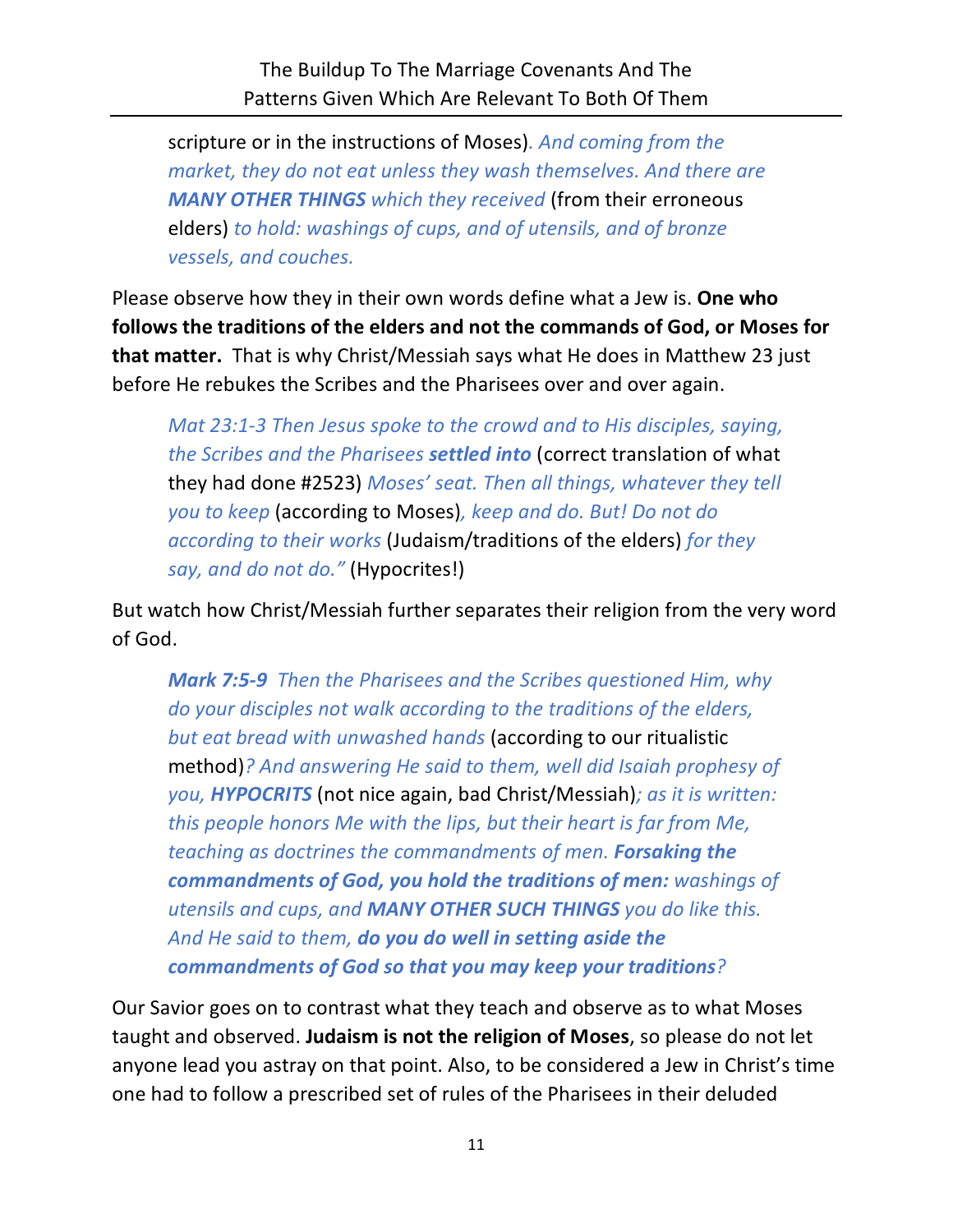scripture or in the instructions of Moses)*. And coming from the market, they do not eat unless they wash themselves. And there are MANY OTHER THINGS which they received* (from their erroneous elders) *to hold: washings of cups, and of utensils, and of bronze vessels, and couches.*

Please observe how they in their own words define what a Jew is. **One who follows the traditions of the elders and not the commands of God, or Moses for that matter.** That is why Christ/Messiah says what He does in Matthew 23 just before He rebukes the Scribes and the Pharisees over and over again.

*Mat 23:1-3 Then Jesus spoke to the crowd and to His disciples, saying, the Scribes and the Pharisees settled into* (correct translation of what they had done #2523) *Moses' seat. Then all things, whatever they tell you to keep* (according to Moses)*, keep and do. But! Do not do according to their works* (Judaism/traditions of the elders) *for they say, and do not do."* (Hypocrites!)

But watch how Christ/Messiah further separates their religion from the very word of God.

*Mark 7:5-9 Then the Pharisees and the Scribes questioned Him, why do your disciples not walk according to the traditions of the elders, but eat bread with unwashed hands* (according to our ritualistic method)*? And answering He said to them, well did Isaiah prophesy of you, HYPOCRITS* (not nice again, bad Christ/Messiah)*; as it is written: this people honors Me with the lips, but their heart is far from Me, teaching as doctrines the commandments of men. Forsaking the commandments of God, you hold the traditions of men: washings of utensils and cups, and MANY OTHER SUCH THINGS you do like this. And He said to them, do you do well in setting aside the commandments of God so that you may keep your traditions?*

Our Savior goes on to contrast what they teach and observe as to what Moses taught and observed. **Judaism is not the religion of Moses**, so please do not let anyone lead you astray on that point. Also, to be considered a Jew in Christ's time one had to follow a prescribed set of rules of the Pharisees in their deluded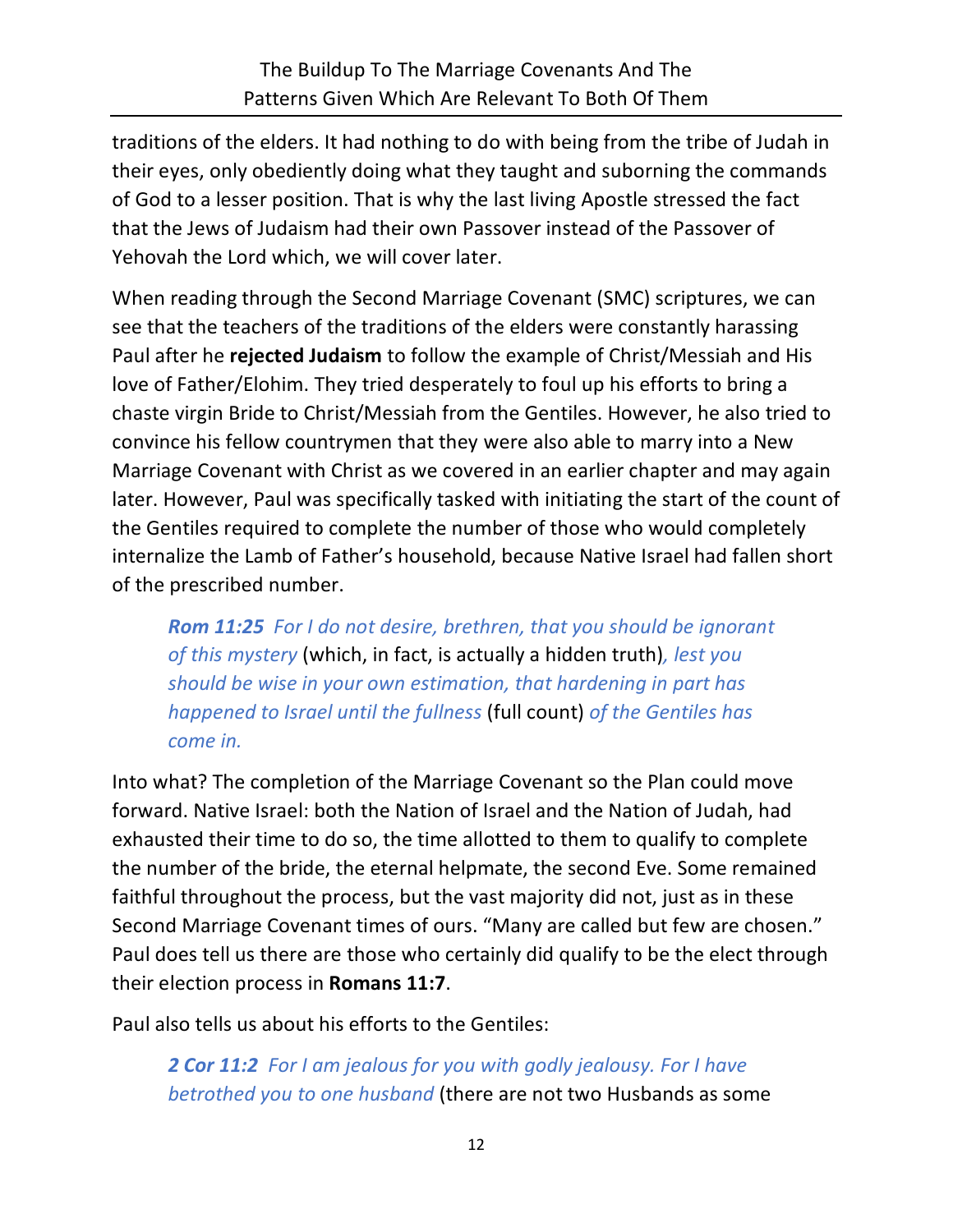traditions of the elders. It had nothing to do with being from the tribe of Judah in their eyes, only obediently doing what they taught and suborning the commands of God to a lesser position. That is why the last living Apostle stressed the fact that the Jews of Judaism had their own Passover instead of the Passover of Yehovah the Lord which, we will cover later.

When reading through the Second Marriage Covenant (SMC) scriptures, we can see that the teachers of the traditions of the elders were constantly harassing Paul after he **rejected Judaism** to follow the example of Christ/Messiah and His love of Father/Elohim. They tried desperately to foul up his efforts to bring a chaste virgin Bride to Christ/Messiah from the Gentiles. However, he also tried to convince his fellow countrymen that they were also able to marry into a New Marriage Covenant with Christ as we covered in an earlier chapter and may again later. However, Paul was specifically tasked with initiating the start of the count of the Gentiles required to complete the number of those who would completely internalize the Lamb of Father's household, because Native Israel had fallen short of the prescribed number.

*Rom 11:25 For I do not desire, brethren, that you should be ignorant of this mystery* (which, in fact, is actually a hidden truth)*, lest you should be wise in your own estimation, that hardening in part has happened to Israel until the fullness* (full count) *of the Gentiles has come in.*

Into what? The completion of the Marriage Covenant so the Plan could move forward. Native Israel: both the Nation of Israel and the Nation of Judah, had exhausted their time to do so, the time allotted to them to qualify to complete the number of the bride, the eternal helpmate, the second Eve. Some remained faithful throughout the process, but the vast majority did not, just as in these Second Marriage Covenant times of ours. "Many are called but few are chosen." Paul does tell us there are those who certainly did qualify to be the elect through their election process in **Romans 11:7**.

Paul also tells us about his efforts to the Gentiles:

*2 Cor 11:2 For I am jealous for you with godly jealousy. For I have betrothed you to one husband* (there are not two Husbands as some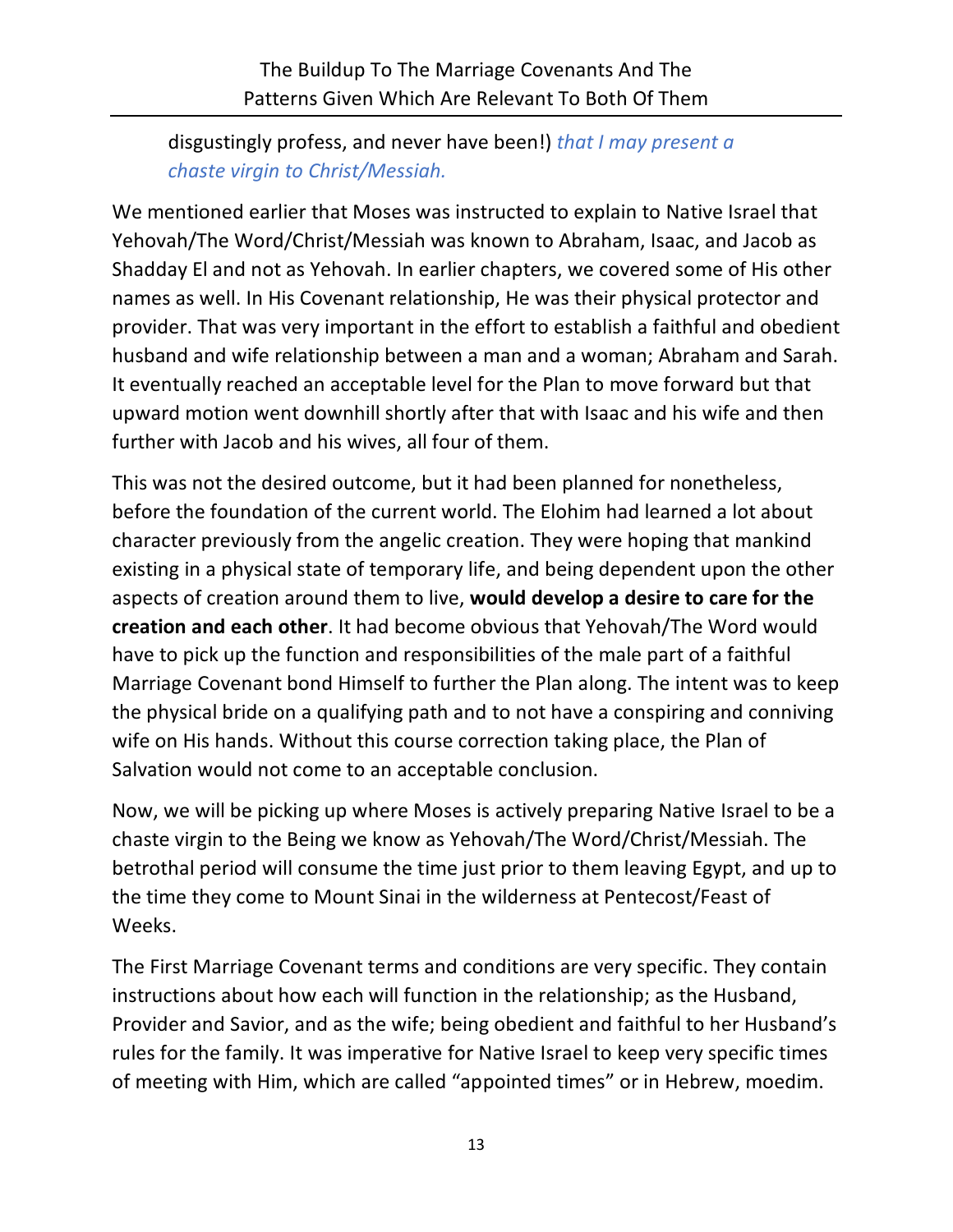disgustingly profess, and never have been!) *that I may present a chaste virgin to Christ/Messiah.*

We mentioned earlier that Moses was instructed to explain to Native Israel that Yehovah/The Word/Christ/Messiah was known to Abraham, Isaac, and Jacob as Shadday El and not as Yehovah. In earlier chapters, we covered some of His other names as well. In His Covenant relationship, He was their physical protector and provider. That was very important in the effort to establish a faithful and obedient husband and wife relationship between a man and a woman; Abraham and Sarah. It eventually reached an acceptable level for the Plan to move forward but that upward motion went downhill shortly after that with Isaac and his wife and then further with Jacob and his wives, all four of them.

This was not the desired outcome, but it had been planned for nonetheless, before the foundation of the current world. The Elohim had learned a lot about character previously from the angelic creation. They were hoping that mankind existing in a physical state of temporary life, and being dependent upon the other aspects of creation around them to live, **would develop a desire to care for the creation and each other**. It had become obvious that Yehovah/The Word would have to pick up the function and responsibilities of the male part of a faithful Marriage Covenant bond Himself to further the Plan along. The intent was to keep the physical bride on a qualifying path and to not have a conspiring and conniving wife on His hands. Without this course correction taking place, the Plan of Salvation would not come to an acceptable conclusion.

Now, we will be picking up where Moses is actively preparing Native Israel to be a chaste virgin to the Being we know as Yehovah/The Word/Christ/Messiah. The betrothal period will consume the time just prior to them leaving Egypt, and up to the time they come to Mount Sinai in the wilderness at Pentecost/Feast of Weeks.

The First Marriage Covenant terms and conditions are very specific. They contain instructions about how each will function in the relationship; as the Husband, Provider and Savior, and as the wife; being obedient and faithful to her Husband's rules for the family. It was imperative for Native Israel to keep very specific times of meeting with Him, which are called "appointed times" or in Hebrew, moedim.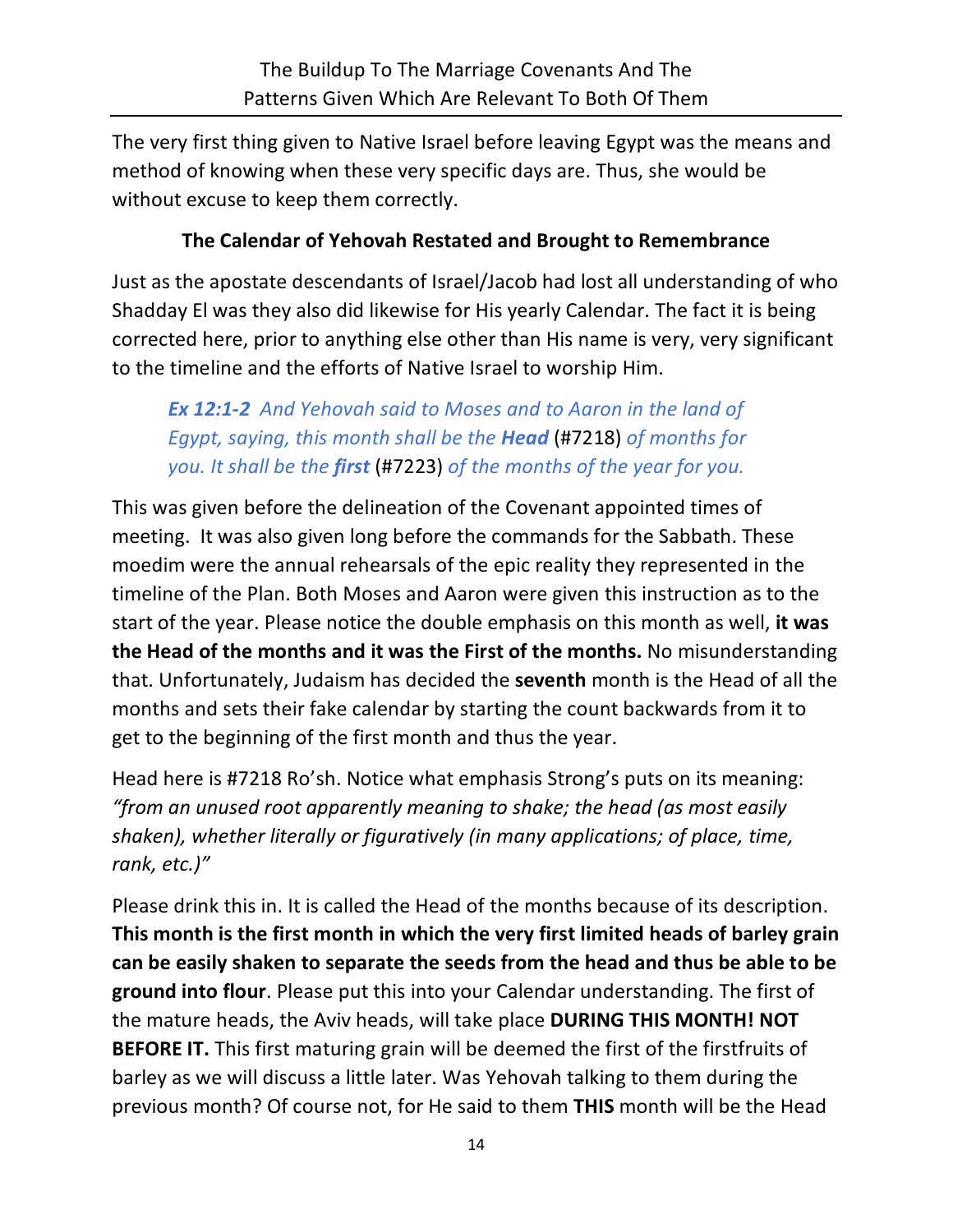The very first thing given to Native Israel before leaving Egypt was the means and method of knowing when these very specific days are. Thus, she would be without excuse to keep them correctly.

## **The Calendar of Yehovah Restated and Brought to Remembrance**

Just as the apostate descendants of Israel/Jacob had lost all understanding of who Shadday El was they also did likewise for His yearly Calendar. The fact it is being corrected here, prior to anything else other than His name is very, very significant to the timeline and the efforts of Native Israel to worship Him.

*Ex 12:1-2 And Yehovah said to Moses and to Aaron in the land of Egypt, saying, this month shall be the Head* (#7218) *of months for you. It shall be the first* (#7223) *of the months of the year for you.*

This was given before the delineation of the Covenant appointed times of meeting. It was also given long before the commands for the Sabbath. These moedim were the annual rehearsals of the epic reality they represented in the timeline of the Plan. Both Moses and Aaron were given this instruction as to the start of the year. Please notice the double emphasis on this month as well, **it was the Head of the months and it was the First of the months.** No misunderstanding that. Unfortunately, Judaism has decided the **seventh** month is the Head of all the months and sets their fake calendar by starting the count backwards from it to get to the beginning of the first month and thus the year.

Head here is #7218 Ro'sh. Notice what emphasis Strong's puts on its meaning: *"from an unused root apparently meaning to shake; the head (as most easily shaken), whether literally or figuratively (in many applications; of place, time, rank, etc.)"*

Please drink this in. It is called the Head of the months because of its description. **This month is the first month in which the very first limited heads of barley grain can be easily shaken to separate the seeds from the head and thus be able to be ground into flour**. Please put this into your Calendar understanding. The first of the mature heads, the Aviv heads, will take place **DURING THIS MONTH! NOT BEFORE IT.** This first maturing grain will be deemed the first of the firstfruits of barley as we will discuss a little later. Was Yehovah talking to them during the previous month? Of course not, for He said to them **THIS** month will be the Head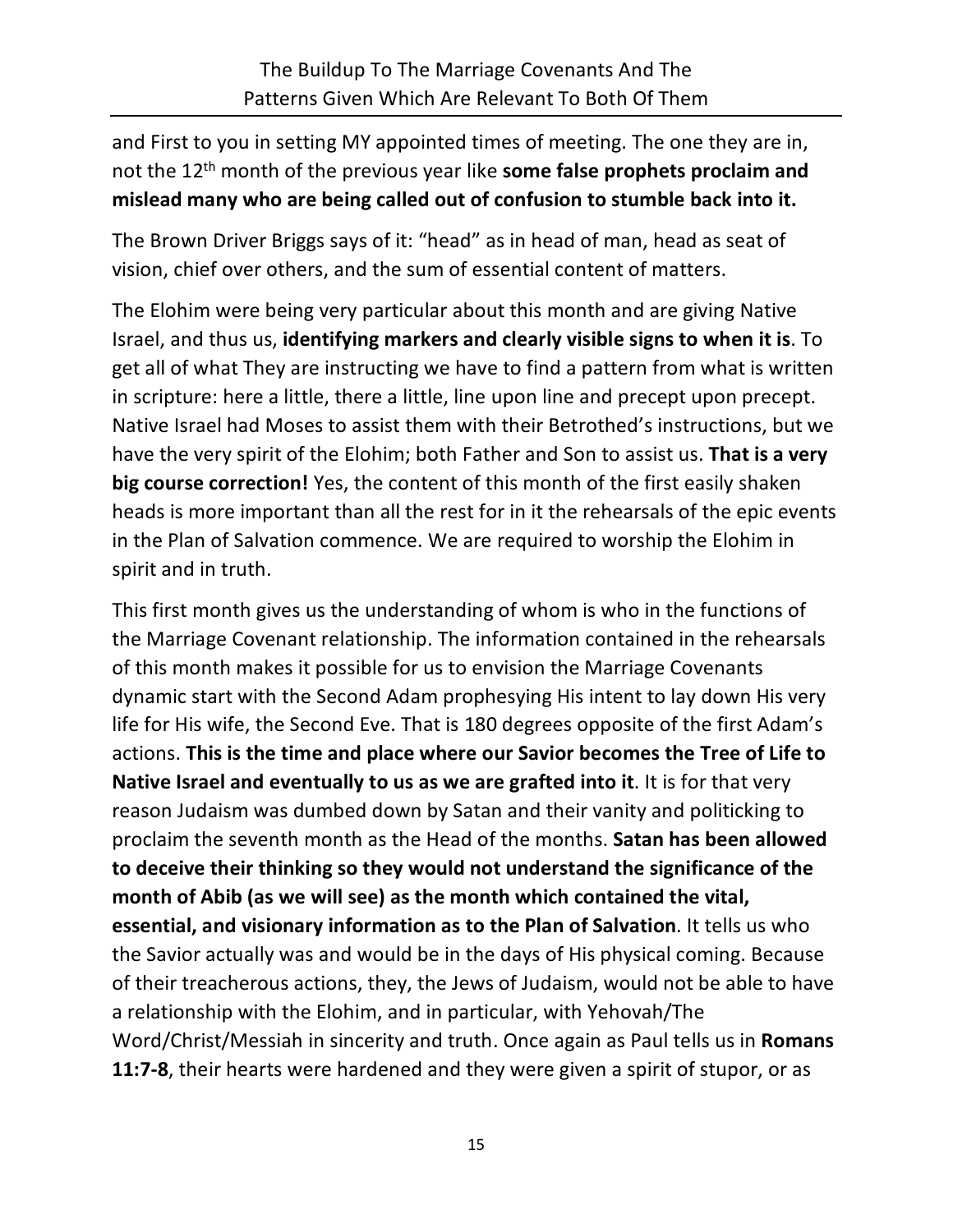and First to you in setting MY appointed times of meeting. The one they are in, not the 12th month of the previous year like **some false prophets proclaim and mislead many who are being called out of confusion to stumble back into it.**

The Brown Driver Briggs says of it: "head" as in head of man, head as seat of vision, chief over others, and the sum of essential content of matters.

The Elohim were being very particular about this month and are giving Native Israel, and thus us, **identifying markers and clearly visible signs to when it is**. To get all of what They are instructing we have to find a pattern from what is written in scripture: here a little, there a little, line upon line and precept upon precept. Native Israel had Moses to assist them with their Betrothed's instructions, but we have the very spirit of the Elohim; both Father and Son to assist us. **That is a very big course correction!** Yes, the content of this month of the first easily shaken heads is more important than all the rest for in it the rehearsals of the epic events in the Plan of Salvation commence. We are required to worship the Elohim in spirit and in truth.

This first month gives us the understanding of whom is who in the functions of the Marriage Covenant relationship. The information contained in the rehearsals of this month makes it possible for us to envision the Marriage Covenants dynamic start with the Second Adam prophesying His intent to lay down His very life for His wife, the Second Eve. That is 180 degrees opposite of the first Adam's actions. **This is the time and place where our Savior becomes the Tree of Life to Native Israel and eventually to us as we are grafted into it**. It is for that very reason Judaism was dumbed down by Satan and their vanity and politicking to proclaim the seventh month as the Head of the months. **Satan has been allowed to deceive their thinking so they would not understand the significance of the month of Abib (as we will see) as the month which contained the vital, essential, and visionary information as to the Plan of Salvation**. It tells us who the Savior actually was and would be in the days of His physical coming. Because of their treacherous actions, they, the Jews of Judaism, would not be able to have a relationship with the Elohim, and in particular, with Yehovah/The Word/Christ/Messiah in sincerity and truth. Once again as Paul tells us in **Romans 11:7-8**, their hearts were hardened and they were given a spirit of stupor, or as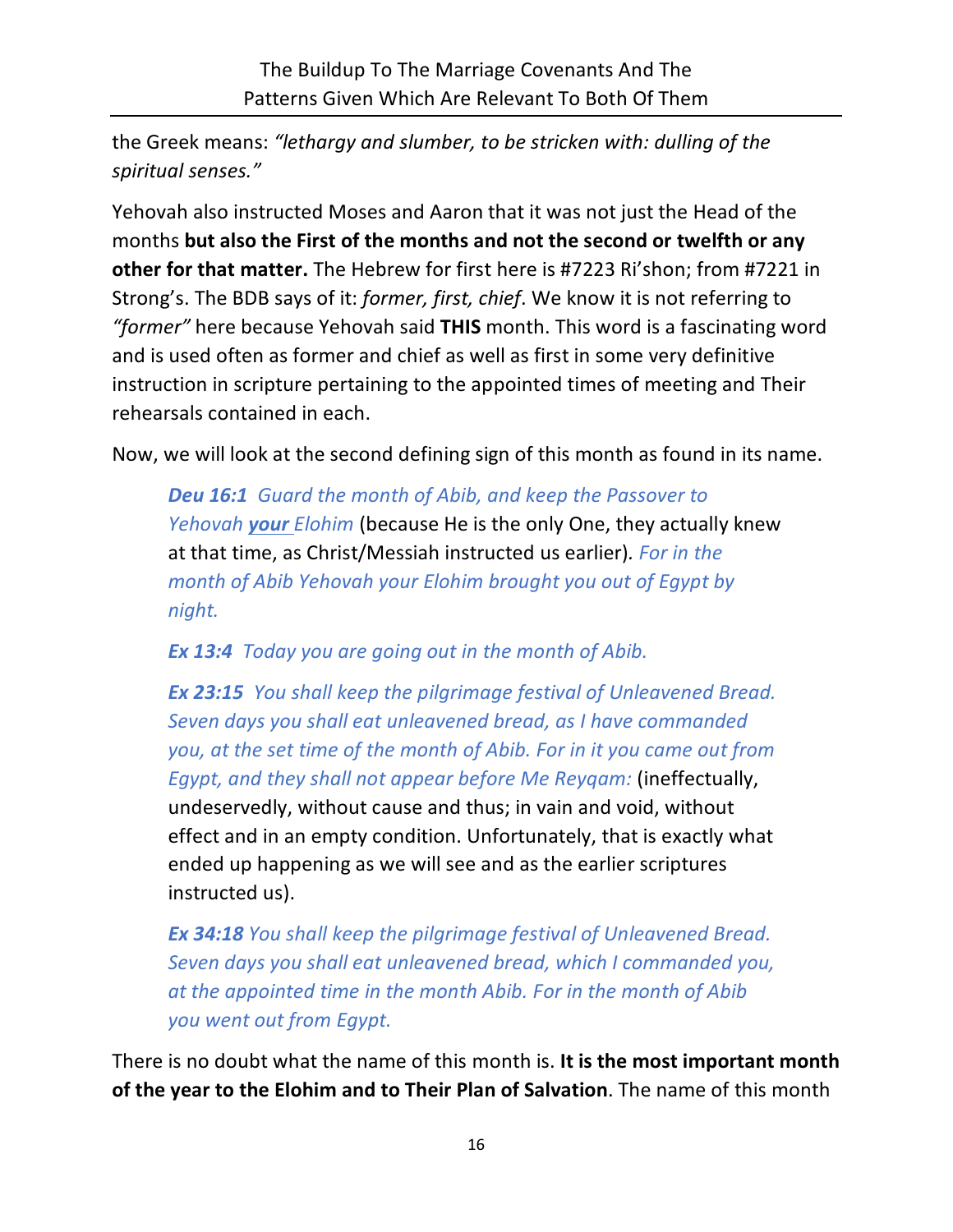the Greek means: *"lethargy and slumber, to be stricken with: dulling of the spiritual senses."*

Yehovah also instructed Moses and Aaron that it was not just the Head of the months **but also the First of the months and not the second or twelfth or any other for that matter.** The Hebrew for first here is #7223 Ri'shon; from #7221 in Strong's. The BDB says of it: *former, first, chief*. We know it is not referring to *"former"* here because Yehovah said **THIS** month. This word is a fascinating word and is used often as former and chief as well as first in some very definitive instruction in scripture pertaining to the appointed times of meeting and Their rehearsals contained in each.

Now, we will look at the second defining sign of this month as found in its name.

*Deu 16:1 Guard the month of Abib, and keep the Passover to Yehovah your Elohim* (because He is the only One, they actually knew at that time, as Christ/Messiah instructed us earlier)*. For in the month of Abib Yehovah your Elohim brought you out of Egypt by night.*

*Ex 13:4 Today you are going out in the month of Abib.*

*Ex 23:15 You shall keep the pilgrimage festival of Unleavened Bread. Seven days you shall eat unleavened bread, as I have commanded you, at the set time of the month of Abib. For in it you came out from Egypt, and they shall not appear before Me Reyqam:* (ineffectually, undeservedly, without cause and thus; in vain and void, without effect and in an empty condition. Unfortunately, that is exactly what ended up happening as we will see and as the earlier scriptures instructed us).

*Ex 34:18 You shall keep the pilgrimage festival of Unleavened Bread. Seven days you shall eat unleavened bread, which I commanded you, at the appointed time in the month Abib. For in the month of Abib you went out from Egypt.*

There is no doubt what the name of this month is. **It is the most important month of the year to the Elohim and to Their Plan of Salvation**. The name of this month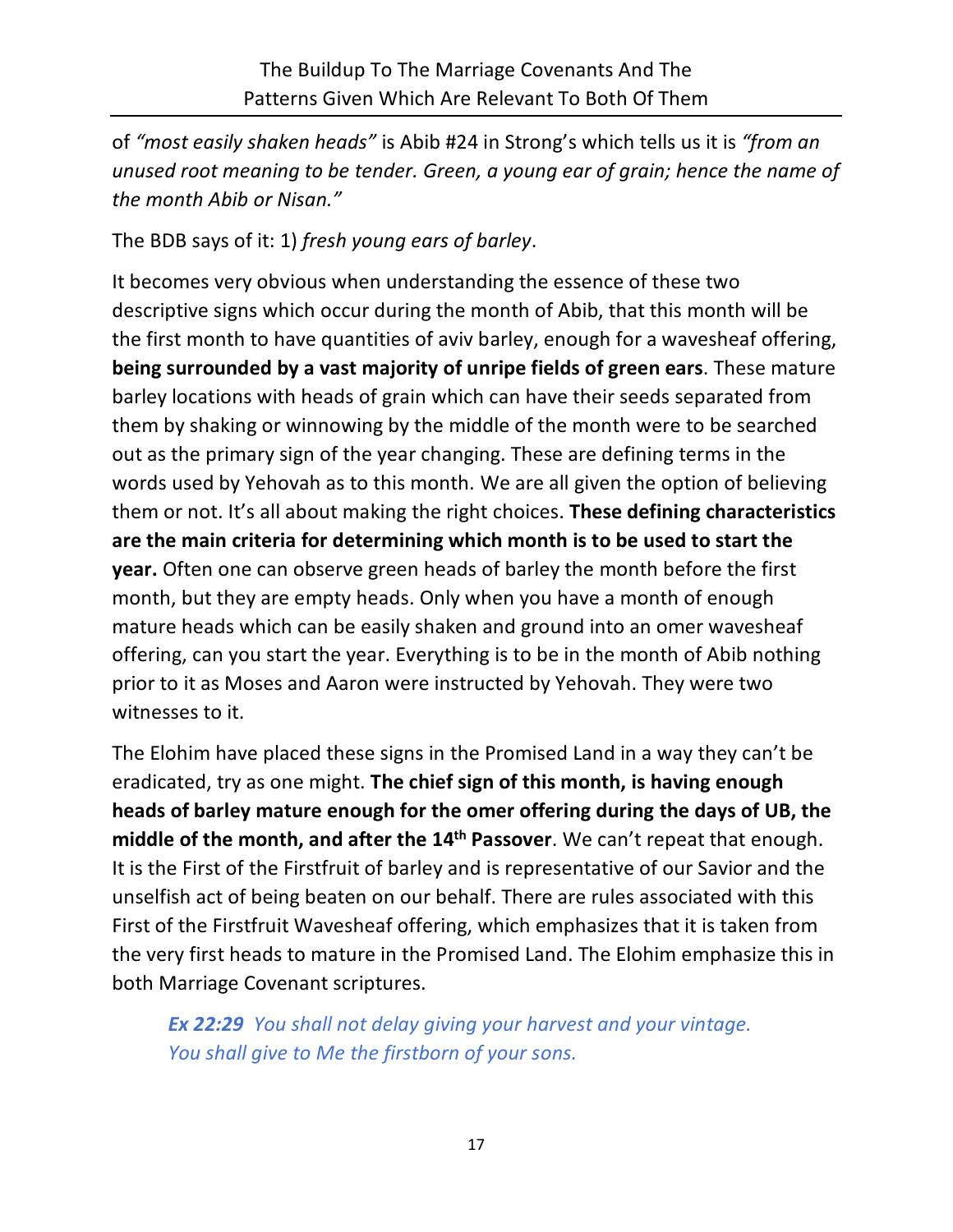of *"most easily shaken heads"* is Abib #24 in Strong's which tells us it is *"from an unused root meaning to be tender. Green, a young ear of grain; hence the name of the month Abib or Nisan."*

The BDB says of it: 1) *fresh young ears of barley*.

It becomes very obvious when understanding the essence of these two descriptive signs which occur during the month of Abib, that this month will be the first month to have quantities of aviv barley, enough for a wavesheaf offering, **being surrounded by a vast majority of unripe fields of green ears**. These mature barley locations with heads of grain which can have their seeds separated from them by shaking or winnowing by the middle of the month were to be searched out as the primary sign of the year changing. These are defining terms in the words used by Yehovah as to this month. We are all given the option of believing them or not. It's all about making the right choices. **These defining characteristics are the main criteria for determining which month is to be used to start the year.** Often one can observe green heads of barley the month before the first month, but they are empty heads. Only when you have a month of enough mature heads which can be easily shaken and ground into an omer wavesheaf offering, can you start the year. Everything is to be in the month of Abib nothing prior to it as Moses and Aaron were instructed by Yehovah. They were two witnesses to it.

The Elohim have placed these signs in the Promised Land in a way they can't be eradicated, try as one might. **The chief sign of this month, is having enough heads of barley mature enough for the omer offering during the days of UB, the middle of the month, and after the 14th Passover**. We can't repeat that enough. It is the First of the Firstfruit of barley and is representative of our Savior and the unselfish act of being beaten on our behalf. There are rules associated with this First of the Firstfruit Wavesheaf offering, which emphasizes that it is taken from the very first heads to mature in the Promised Land. The Elohim emphasize this in both Marriage Covenant scriptures.

*Ex 22:29 You shall not delay giving your harvest and your vintage. You shall give to Me the firstborn of your sons.*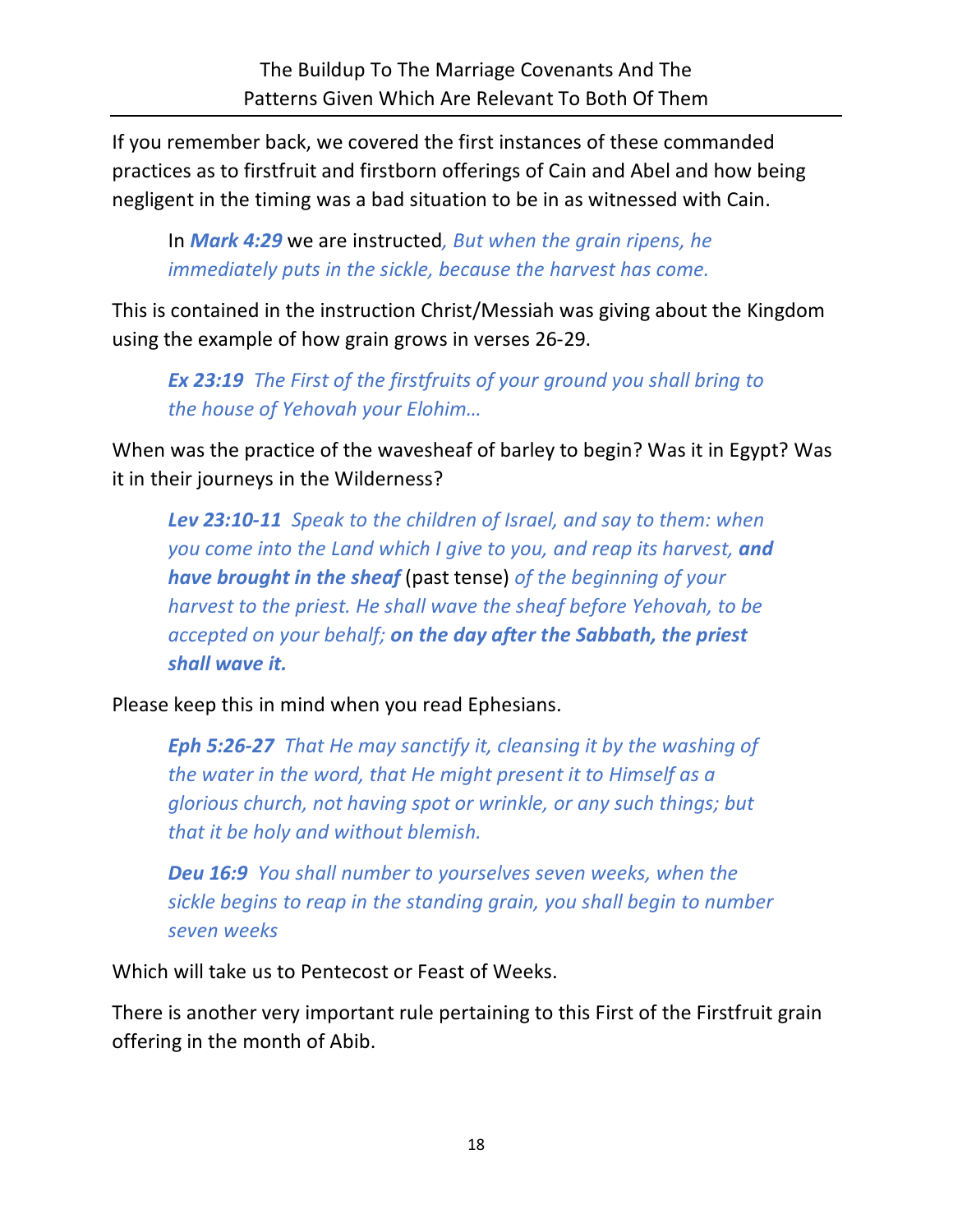If you remember back, we covered the first instances of these commanded practices as to firstfruit and firstborn offerings of Cain and Abel and how being negligent in the timing was a bad situation to be in as witnessed with Cain.

In *Mark 4:29* we are instructed*, But when the grain ripens, he immediately puts in the sickle, because the harvest has come.*

This is contained in the instruction Christ/Messiah was giving about the Kingdom using the example of how grain grows in verses 26-29.

*Ex 23:19 The First of the firstfruits of your ground you shall bring to the house of Yehovah your Elohim…*

When was the practice of the wavesheaf of barley to begin? Was it in Egypt? Was it in their journeys in the Wilderness?

*Lev 23:10-11 Speak to the children of Israel, and say to them: when you come into the Land which I give to you, and reap its harvest, and have brought in the sheaf* (past tense) *of the beginning of your harvest to the priest. He shall wave the sheaf before Yehovah, to be accepted on your behalf; on the day after the Sabbath, the priest shall wave it.*

Please keep this in mind when you read Ephesians.

*Eph 5:26-27 That He may sanctify it, cleansing it by the washing of the water in the word, that He might present it to Himself as a glorious church, not having spot or wrinkle, or any such things; but that it be holy and without blemish.*

*Deu 16:9 You shall number to yourselves seven weeks, when the sickle begins to reap in the standing grain, you shall begin to number seven weeks*

Which will take us to Pentecost or Feast of Weeks.

There is another very important rule pertaining to this First of the Firstfruit grain offering in the month of Abib.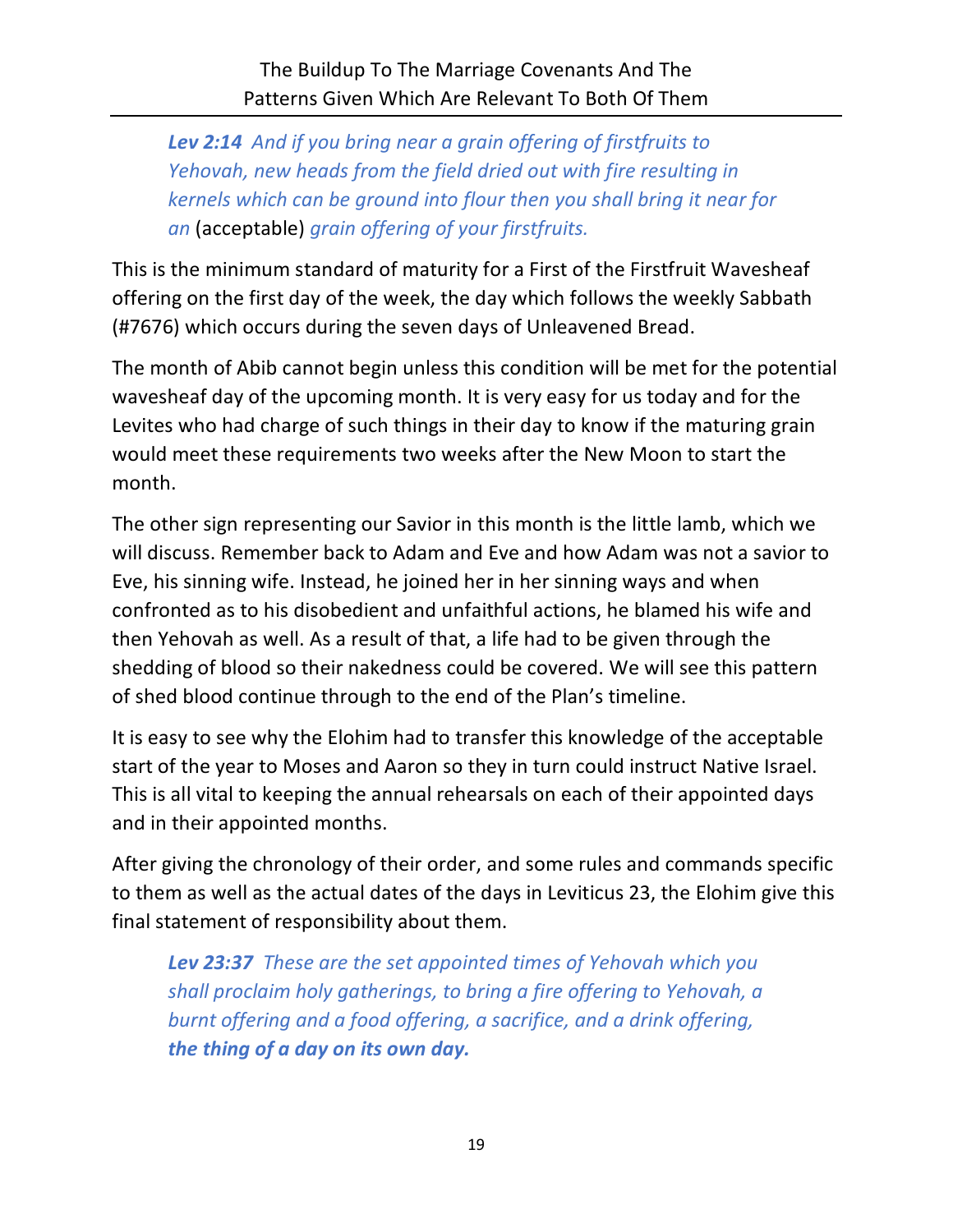*Lev 2:14 And if you bring near a grain offering of firstfruits to Yehovah, new heads from the field dried out with fire resulting in kernels which can be ground into flour then you shall bring it near for an* (acceptable) *grain offering of your firstfruits.*

This is the minimum standard of maturity for a First of the Firstfruit Wavesheaf offering on the first day of the week, the day which follows the weekly Sabbath (#7676) which occurs during the seven days of Unleavened Bread.

The month of Abib cannot begin unless this condition will be met for the potential wavesheaf day of the upcoming month. It is very easy for us today and for the Levites who had charge of such things in their day to know if the maturing grain would meet these requirements two weeks after the New Moon to start the month.

The other sign representing our Savior in this month is the little lamb, which we will discuss. Remember back to Adam and Eve and how Adam was not a savior to Eve, his sinning wife. Instead, he joined her in her sinning ways and when confronted as to his disobedient and unfaithful actions, he blamed his wife and then Yehovah as well. As a result of that, a life had to be given through the shedding of blood so their nakedness could be covered. We will see this pattern of shed blood continue through to the end of the Plan's timeline.

It is easy to see why the Elohim had to transfer this knowledge of the acceptable start of the year to Moses and Aaron so they in turn could instruct Native Israel. This is all vital to keeping the annual rehearsals on each of their appointed days and in their appointed months.

After giving the chronology of their order, and some rules and commands specific to them as well as the actual dates of the days in Leviticus 23, the Elohim give this final statement of responsibility about them.

*Lev 23:37 These are the set appointed times of Yehovah which you shall proclaim holy gatherings, to bring a fire offering to Yehovah, a burnt offering and a food offering, a sacrifice, and a drink offering, the thing of a day on its own day.*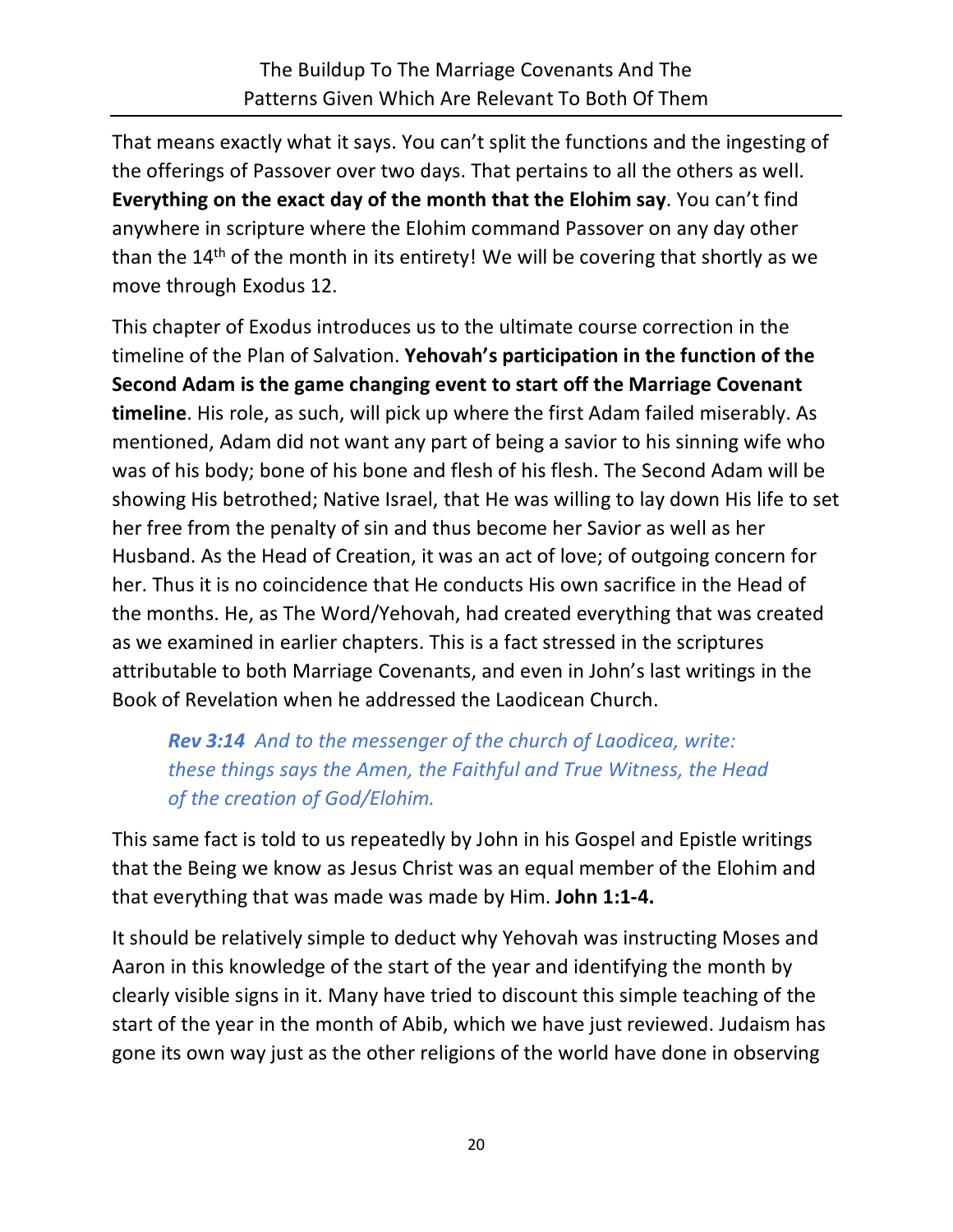That means exactly what it says. You can't split the functions and the ingesting of the offerings of Passover over two days. That pertains to all the others as well. **Everything on the exact day of the month that the Elohim say**. You can't find anywhere in scripture where the Elohim command Passover on any day other than the 14<sup>th</sup> of the month in its entirety! We will be covering that shortly as we move through Exodus 12.

This chapter of Exodus introduces us to the ultimate course correction in the timeline of the Plan of Salvation. **Yehovah's participation in the function of the Second Adam is the game changing event to start off the Marriage Covenant timeline**. His role, as such, will pick up where the first Adam failed miserably. As mentioned, Adam did not want any part of being a savior to his sinning wife who was of his body; bone of his bone and flesh of his flesh. The Second Adam will be showing His betrothed; Native Israel, that He was willing to lay down His life to set her free from the penalty of sin and thus become her Savior as well as her Husband. As the Head of Creation, it was an act of love; of outgoing concern for her. Thus it is no coincidence that He conducts His own sacrifice in the Head of the months. He, as The Word/Yehovah, had created everything that was created as we examined in earlier chapters. This is a fact stressed in the scriptures attributable to both Marriage Covenants, and even in John's last writings in the Book of Revelation when he addressed the Laodicean Church.

## *Rev 3:14 And to the messenger of the church of Laodicea, write: these things says the Amen, the Faithful and True Witness, the Head of the creation of God/Elohim.*

This same fact is told to us repeatedly by John in his Gospel and Epistle writings that the Being we know as Jesus Christ was an equal member of the Elohim and that everything that was made was made by Him. **John 1:1-4.**

It should be relatively simple to deduct why Yehovah was instructing Moses and Aaron in this knowledge of the start of the year and identifying the month by clearly visible signs in it. Many have tried to discount this simple teaching of the start of the year in the month of Abib, which we have just reviewed. Judaism has gone its own way just as the other religions of the world have done in observing